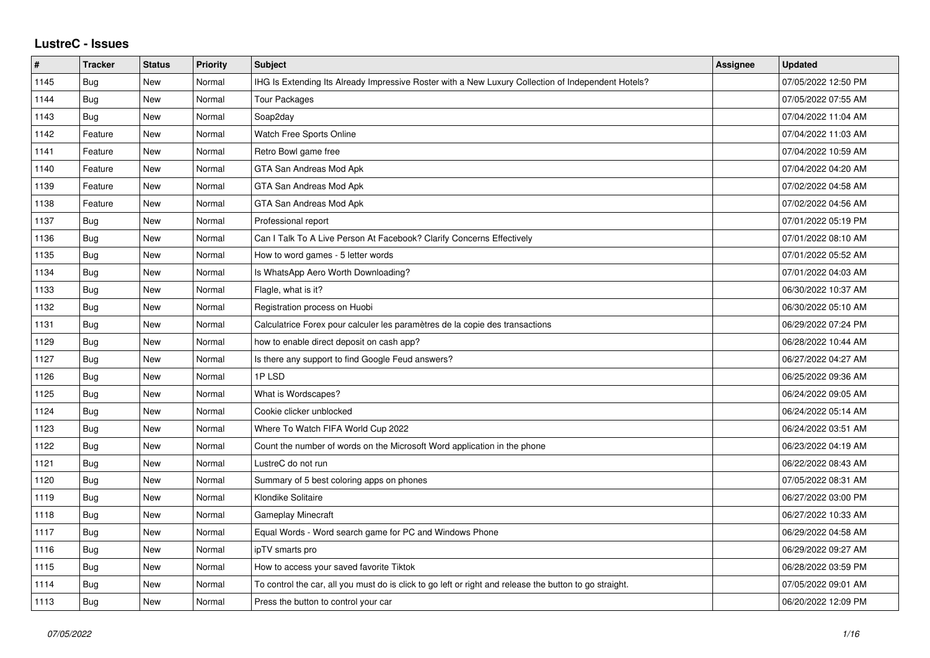## **LustreC - Issues**

| #    | <b>Tracker</b> | <b>Status</b> | <b>Priority</b> | <b>Subject</b>                                                                                          | <b>Assignee</b> | <b>Updated</b>      |
|------|----------------|---------------|-----------------|---------------------------------------------------------------------------------------------------------|-----------------|---------------------|
| 1145 | Bug            | New           | Normal          | IHG Is Extending Its Already Impressive Roster with a New Luxury Collection of Independent Hotels?      |                 | 07/05/2022 12:50 PM |
| 1144 | Bug            | New           | Normal          | <b>Tour Packages</b>                                                                                    |                 | 07/05/2022 07:55 AM |
| 1143 | Bug            | New           | Normal          | Soap2day                                                                                                |                 | 07/04/2022 11:04 AM |
| 1142 | Feature        | New           | Normal          | Watch Free Sports Online                                                                                |                 | 07/04/2022 11:03 AM |
| 1141 | Feature        | <b>New</b>    | Normal          | Retro Bowl game free                                                                                    |                 | 07/04/2022 10:59 AM |
| 1140 | Feature        | New           | Normal          | GTA San Andreas Mod Apk                                                                                 |                 | 07/04/2022 04:20 AM |
| 1139 | Feature        | New           | Normal          | GTA San Andreas Mod Apk                                                                                 |                 | 07/02/2022 04:58 AM |
| 1138 | Feature        | <b>New</b>    | Normal          | GTA San Andreas Mod Apk                                                                                 |                 | 07/02/2022 04:56 AM |
| 1137 | Bug            | New           | Normal          | Professional report                                                                                     |                 | 07/01/2022 05:19 PM |
| 1136 | Bug            | <b>New</b>    | Normal          | Can I Talk To A Live Person At Facebook? Clarify Concerns Effectively                                   |                 | 07/01/2022 08:10 AM |
| 1135 | <b>Bug</b>     | <b>New</b>    | Normal          | How to word games - 5 letter words                                                                      |                 | 07/01/2022 05:52 AM |
| 1134 | <b>Bug</b>     | New           | Normal          | Is WhatsApp Aero Worth Downloading?                                                                     |                 | 07/01/2022 04:03 AM |
| 1133 | Bug            | <b>New</b>    | Normal          | Flagle, what is it?                                                                                     |                 | 06/30/2022 10:37 AM |
| 1132 | Bug            | New           | Normal          | Registration process on Huobi                                                                           |                 | 06/30/2022 05:10 AM |
| 1131 | Bug            | New           | Normal          | Calculatrice Forex pour calculer les paramètres de la copie des transactions                            |                 | 06/29/2022 07:24 PM |
| 1129 | Bug            | New           | Normal          | how to enable direct deposit on cash app?                                                               |                 | 06/28/2022 10:44 AM |
| 1127 | Bug            | <b>New</b>    | Normal          | Is there any support to find Google Feud answers?                                                       |                 | 06/27/2022 04:27 AM |
| 1126 | <b>Bug</b>     | New           | Normal          | 1P LSD                                                                                                  |                 | 06/25/2022 09:36 AM |
| 1125 | Bug            | New           | Normal          | What is Wordscapes?                                                                                     |                 | 06/24/2022 09:05 AM |
| 1124 | Bug            | New           | Normal          | Cookie clicker unblocked                                                                                |                 | 06/24/2022 05:14 AM |
| 1123 | Bug            | New           | Normal          | Where To Watch FIFA World Cup 2022                                                                      |                 | 06/24/2022 03:51 AM |
| 1122 | Bug            | New           | Normal          | Count the number of words on the Microsoft Word application in the phone                                |                 | 06/23/2022 04:19 AM |
| 1121 | Bug            | New           | Normal          | LustreC do not run                                                                                      |                 | 06/22/2022 08:43 AM |
| 1120 | Bug            | New           | Normal          | Summary of 5 best coloring apps on phones                                                               |                 | 07/05/2022 08:31 AM |
| 1119 | <b>Bug</b>     | <b>New</b>    | Normal          | Klondike Solitaire                                                                                      |                 | 06/27/2022 03:00 PM |
| 1118 | Bug            | New           | Normal          | Gameplay Minecraft                                                                                      |                 | 06/27/2022 10:33 AM |
| 1117 | Bug            | New           | Normal          | Equal Words - Word search game for PC and Windows Phone                                                 |                 | 06/29/2022 04:58 AM |
| 1116 | <b>Bug</b>     | New           | Normal          | ipTV smarts pro                                                                                         |                 | 06/29/2022 09:27 AM |
| 1115 | Bug            | New           | Normal          | How to access your saved favorite Tiktok                                                                |                 | 06/28/2022 03:59 PM |
| 1114 | Bug            | New           | Normal          | To control the car, all you must do is click to go left or right and release the button to go straight. |                 | 07/05/2022 09:01 AM |
| 1113 | Bug            | New           | Normal          | Press the button to control your car                                                                    |                 | 06/20/2022 12:09 PM |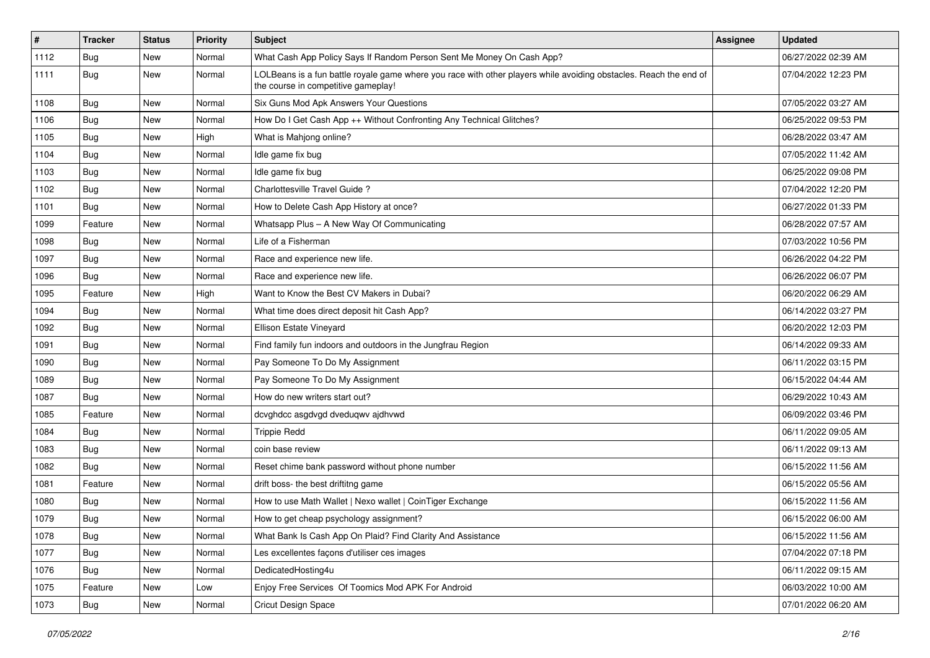| $\vert$ # | <b>Tracker</b> | <b>Status</b> | <b>Priority</b> | Subject                                                                                                                                                  | Assignee | <b>Updated</b>      |
|-----------|----------------|---------------|-----------------|----------------------------------------------------------------------------------------------------------------------------------------------------------|----------|---------------------|
| 1112      | <b>Bug</b>     | New           | Normal          | What Cash App Policy Says If Random Person Sent Me Money On Cash App?                                                                                    |          | 06/27/2022 02:39 AM |
| 1111      | Bug            | New           | Normal          | LOLBeans is a fun battle royale game where you race with other players while avoiding obstacles. Reach the end of<br>the course in competitive gameplay! |          | 07/04/2022 12:23 PM |
| 1108      | Bug            | New           | Normal          | Six Guns Mod Apk Answers Your Questions                                                                                                                  |          | 07/05/2022 03:27 AM |
| 1106      | Bug            | New           | Normal          | How Do I Get Cash App ++ Without Confronting Any Technical Glitches?                                                                                     |          | 06/25/2022 09:53 PM |
| 1105      | Bug            | New           | High            | What is Mahjong online?                                                                                                                                  |          | 06/28/2022 03:47 AM |
| 1104      | Bug            | New           | Normal          | Idle game fix bug                                                                                                                                        |          | 07/05/2022 11:42 AM |
| 1103      | Bug            | New           | Normal          | Idle game fix bug                                                                                                                                        |          | 06/25/2022 09:08 PM |
| 1102      | <b>Bug</b>     | New           | Normal          | Charlottesville Travel Guide?                                                                                                                            |          | 07/04/2022 12:20 PM |
| 1101      | <b>Bug</b>     | New           | Normal          | How to Delete Cash App History at once?                                                                                                                  |          | 06/27/2022 01:33 PM |
| 1099      | Feature        | New           | Normal          | Whatsapp Plus - A New Way Of Communicating                                                                                                               |          | 06/28/2022 07:57 AM |
| 1098      | <b>Bug</b>     | New           | Normal          | Life of a Fisherman                                                                                                                                      |          | 07/03/2022 10:56 PM |
| 1097      | Bug            | New           | Normal          | Race and experience new life.                                                                                                                            |          | 06/26/2022 04:22 PM |
| 1096      | <b>Bug</b>     | New           | Normal          | Race and experience new life.                                                                                                                            |          | 06/26/2022 06:07 PM |
| 1095      | Feature        | New           | High            | Want to Know the Best CV Makers in Dubai?                                                                                                                |          | 06/20/2022 06:29 AM |
| 1094      | Bug            | New           | Normal          | What time does direct deposit hit Cash App?                                                                                                              |          | 06/14/2022 03:27 PM |
| 1092      | <b>Bug</b>     | New           | Normal          | Ellison Estate Vineyard                                                                                                                                  |          | 06/20/2022 12:03 PM |
| 1091      | <b>Bug</b>     | New           | Normal          | Find family fun indoors and outdoors in the Jungfrau Region                                                                                              |          | 06/14/2022 09:33 AM |
| 1090      | <b>Bug</b>     | New           | Normal          | Pay Someone To Do My Assignment                                                                                                                          |          | 06/11/2022 03:15 PM |
| 1089      | <b>Bug</b>     | New           | Normal          | Pay Someone To Do My Assignment                                                                                                                          |          | 06/15/2022 04:44 AM |
| 1087      | Bug            | New           | Normal          | How do new writers start out?                                                                                                                            |          | 06/29/2022 10:43 AM |
| 1085      | Feature        | New           | Normal          | dcvghdcc asgdvgd dveduqwv ajdhvwd                                                                                                                        |          | 06/09/2022 03:46 PM |
| 1084      | Bug            | New           | Normal          | <b>Trippie Redd</b>                                                                                                                                      |          | 06/11/2022 09:05 AM |
| 1083      | <b>Bug</b>     | New           | Normal          | coin base review                                                                                                                                         |          | 06/11/2022 09:13 AM |
| 1082      | <b>Bug</b>     | New           | Normal          | Reset chime bank password without phone number                                                                                                           |          | 06/15/2022 11:56 AM |
| 1081      | Feature        | New           | Normal          | drift boss- the best driftitng game                                                                                                                      |          | 06/15/2022 05:56 AM |
| 1080      | <b>Bug</b>     | New           | Normal          | How to use Math Wallet   Nexo wallet   CoinTiger Exchange                                                                                                |          | 06/15/2022 11:56 AM |
| 1079      | Bug            | New           | Normal          | How to get cheap psychology assignment?                                                                                                                  |          | 06/15/2022 06:00 AM |
| 1078      | <b>Bug</b>     | New           | Normal          | What Bank Is Cash App On Plaid? Find Clarity And Assistance                                                                                              |          | 06/15/2022 11:56 AM |
| 1077      | Bug            | New           | Normal          | Les excellentes façons d'utiliser ces images                                                                                                             |          | 07/04/2022 07:18 PM |
| 1076      | Bug            | New           | Normal          | DedicatedHosting4u                                                                                                                                       |          | 06/11/2022 09:15 AM |
| 1075      | Feature        | New           | Low             | Enjoy Free Services Of Toomics Mod APK For Android                                                                                                       |          | 06/03/2022 10:00 AM |
| 1073      | Bug            | New           | Normal          | <b>Cricut Design Space</b>                                                                                                                               |          | 07/01/2022 06:20 AM |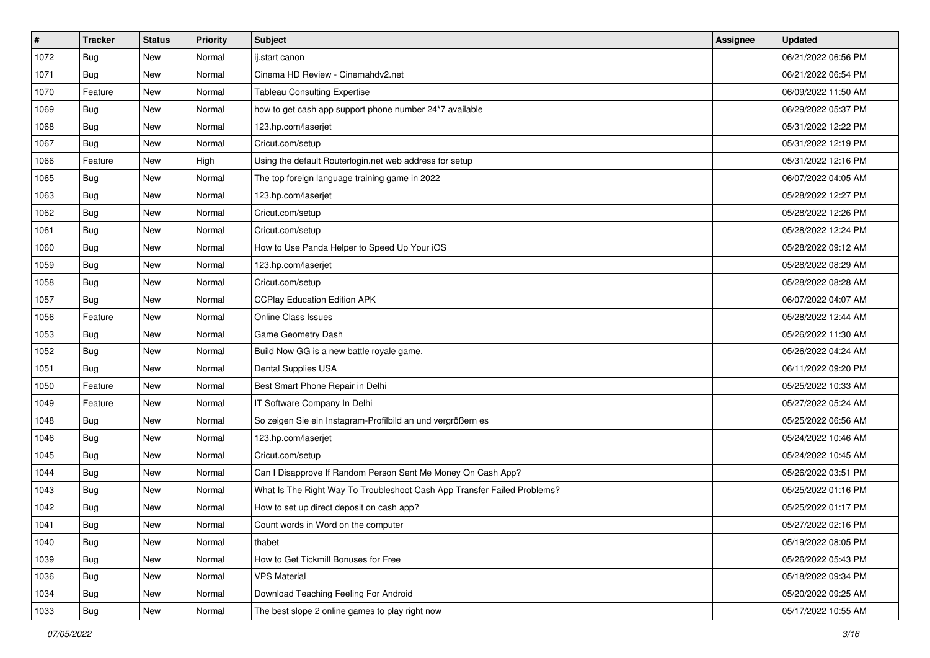| $\vert$ # | <b>Tracker</b> | <b>Status</b> | Priority | <b>Subject</b>                                                           | <b>Assignee</b> | <b>Updated</b>      |
|-----------|----------------|---------------|----------|--------------------------------------------------------------------------|-----------------|---------------------|
| 1072      | <b>Bug</b>     | New           | Normal   | ij.start canon                                                           |                 | 06/21/2022 06:56 PM |
| 1071      | <b>Bug</b>     | New           | Normal   | Cinema HD Review - Cinemahdy2.net                                        |                 | 06/21/2022 06:54 PM |
| 1070      | Feature        | New           | Normal   | <b>Tableau Consulting Expertise</b>                                      |                 | 06/09/2022 11:50 AM |
| 1069      | Bug            | New           | Normal   | how to get cash app support phone number 24*7 available                  |                 | 06/29/2022 05:37 PM |
| 1068      | Bug            | New           | Normal   | 123.hp.com/laserjet                                                      |                 | 05/31/2022 12:22 PM |
| 1067      | Bug            | New           | Normal   | Cricut.com/setup                                                         |                 | 05/31/2022 12:19 PM |
| 1066      | Feature        | New           | High     | Using the default Routerlogin.net web address for setup                  |                 | 05/31/2022 12:16 PM |
| 1065      | <b>Bug</b>     | New           | Normal   | The top foreign language training game in 2022                           |                 | 06/07/2022 04:05 AM |
| 1063      | <b>Bug</b>     | New           | Normal   | 123.hp.com/laserjet                                                      |                 | 05/28/2022 12:27 PM |
| 1062      | <b>Bug</b>     | New           | Normal   | Cricut.com/setup                                                         |                 | 05/28/2022 12:26 PM |
| 1061      | <b>Bug</b>     | New           | Normal   | Cricut.com/setup                                                         |                 | 05/28/2022 12:24 PM |
| 1060      | <b>Bug</b>     | New           | Normal   | How to Use Panda Helper to Speed Up Your iOS                             |                 | 05/28/2022 09:12 AM |
| 1059      | Bug            | New           | Normal   | 123.hp.com/laserjet                                                      |                 | 05/28/2022 08:29 AM |
| 1058      | Bug            | New           | Normal   | Cricut.com/setup                                                         |                 | 05/28/2022 08:28 AM |
| 1057      | Bug            | New           | Normal   | <b>CCPlay Education Edition APK</b>                                      |                 | 06/07/2022 04:07 AM |
| 1056      | Feature        | New           | Normal   | <b>Online Class Issues</b>                                               |                 | 05/28/2022 12:44 AM |
| 1053      | Bug            | New           | Normal   | Game Geometry Dash                                                       |                 | 05/26/2022 11:30 AM |
| 1052      | Bug            | New           | Normal   | Build Now GG is a new battle royale game.                                |                 | 05/26/2022 04:24 AM |
| 1051      | Bug            | New           | Normal   | Dental Supplies USA                                                      |                 | 06/11/2022 09:20 PM |
| 1050      | Feature        | New           | Normal   | Best Smart Phone Repair in Delhi                                         |                 | 05/25/2022 10:33 AM |
| 1049      | Feature        | New           | Normal   | IT Software Company In Delhi                                             |                 | 05/27/2022 05:24 AM |
| 1048      | <b>Bug</b>     | New           | Normal   | So zeigen Sie ein Instagram-Profilbild an und vergrößern es              |                 | 05/25/2022 06:56 AM |
| 1046      | Bug            | New           | Normal   | 123.hp.com/laserjet                                                      |                 | 05/24/2022 10:46 AM |
| 1045      | <b>Bug</b>     | New           | Normal   | Cricut.com/setup                                                         |                 | 05/24/2022 10:45 AM |
| 1044      | <b>Bug</b>     | New           | Normal   | Can I Disapprove If Random Person Sent Me Money On Cash App?             |                 | 05/26/2022 03:51 PM |
| 1043      | Bug            | New           | Normal   | What Is The Right Way To Troubleshoot Cash App Transfer Failed Problems? |                 | 05/25/2022 01:16 PM |
| 1042      | Bug            | New           | Normal   | How to set up direct deposit on cash app?                                |                 | 05/25/2022 01:17 PM |
| 1041      | Bug            | New           | Normal   | Count words in Word on the computer                                      |                 | 05/27/2022 02:16 PM |
| 1040      | <b>Bug</b>     | New           | Normal   | thabet                                                                   |                 | 05/19/2022 08:05 PM |
| 1039      | <b>Bug</b>     | New           | Normal   | How to Get Tickmill Bonuses for Free                                     |                 | 05/26/2022 05:43 PM |
| 1036      | <b>Bug</b>     | New           | Normal   | <b>VPS Material</b>                                                      |                 | 05/18/2022 09:34 PM |
| 1034      | <b>Bug</b>     | New           | Normal   | Download Teaching Feeling For Android                                    |                 | 05/20/2022 09:25 AM |
| 1033      | <b>Bug</b>     | New           | Normal   | The best slope 2 online games to play right now                          |                 | 05/17/2022 10:55 AM |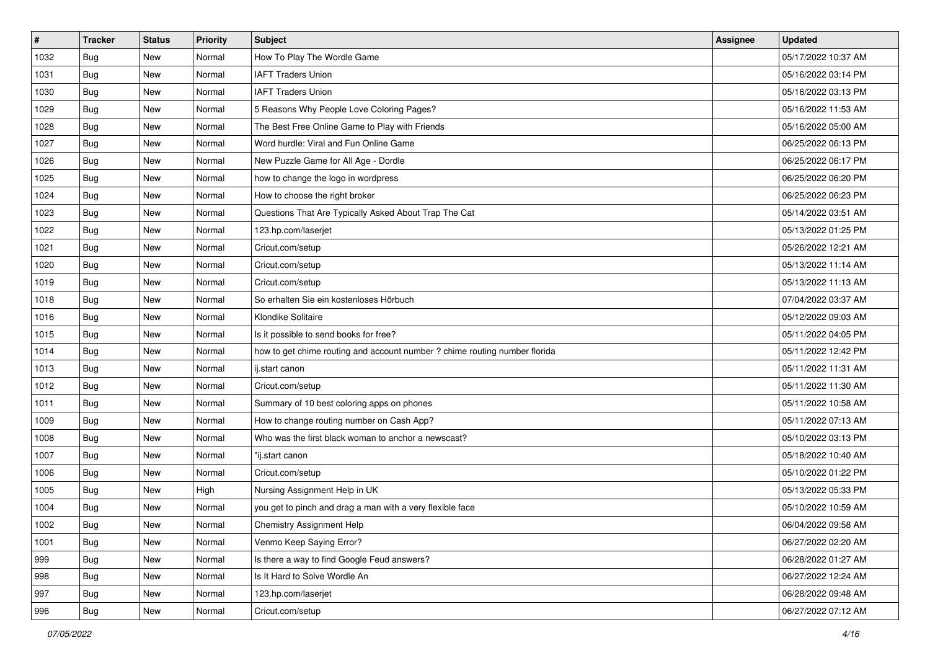| #    | <b>Tracker</b> | <b>Status</b> | <b>Priority</b> | Subject                                                                    | Assignee | <b>Updated</b>      |
|------|----------------|---------------|-----------------|----------------------------------------------------------------------------|----------|---------------------|
| 1032 | <b>Bug</b>     | New           | Normal          | How To Play The Wordle Game                                                |          | 05/17/2022 10:37 AM |
| 1031 | Bug            | New           | Normal          | <b>IAFT Traders Union</b>                                                  |          | 05/16/2022 03:14 PM |
| 1030 | Bug            | New           | Normal          | <b>IAFT Traders Union</b>                                                  |          | 05/16/2022 03:13 PM |
| 1029 | <b>Bug</b>     | New           | Normal          | 5 Reasons Why People Love Coloring Pages?                                  |          | 05/16/2022 11:53 AM |
| 1028 | <b>Bug</b>     | New           | Normal          | The Best Free Online Game to Play with Friends                             |          | 05/16/2022 05:00 AM |
| 1027 | <b>Bug</b>     | New           | Normal          | Word hurdle: Viral and Fun Online Game                                     |          | 06/25/2022 06:13 PM |
| 1026 | <b>Bug</b>     | New           | Normal          | New Puzzle Game for All Age - Dordle                                       |          | 06/25/2022 06:17 PM |
| 1025 | Bug            | New           | Normal          | how to change the logo in wordpress                                        |          | 06/25/2022 06:20 PM |
| 1024 | <b>Bug</b>     | New           | Normal          | How to choose the right broker                                             |          | 06/25/2022 06:23 PM |
| 1023 | Bug            | New           | Normal          | Questions That Are Typically Asked About Trap The Cat                      |          | 05/14/2022 03:51 AM |
| 1022 | Bug            | New           | Normal          | 123.hp.com/laserjet                                                        |          | 05/13/2022 01:25 PM |
| 1021 | <b>Bug</b>     | New           | Normal          | Cricut.com/setup                                                           |          | 05/26/2022 12:21 AM |
| 1020 | Bug            | New           | Normal          | Cricut.com/setup                                                           |          | 05/13/2022 11:14 AM |
| 1019 | Bug            | New           | Normal          | Cricut.com/setup                                                           |          | 05/13/2022 11:13 AM |
| 1018 | <b>Bug</b>     | New           | Normal          | So erhalten Sie ein kostenloses Hörbuch                                    |          | 07/04/2022 03:37 AM |
| 1016 | <b>Bug</b>     | New           | Normal          | Klondike Solitaire                                                         |          | 05/12/2022 09:03 AM |
| 1015 | Bug            | New           | Normal          | Is it possible to send books for free?                                     |          | 05/11/2022 04:05 PM |
| 1014 | Bug            | New           | Normal          | how to get chime routing and account number ? chime routing number florida |          | 05/11/2022 12:42 PM |
| 1013 | <b>Bug</b>     | New           | Normal          | ij.start canon                                                             |          | 05/11/2022 11:31 AM |
| 1012 | Bug            | New           | Normal          | Cricut.com/setup                                                           |          | 05/11/2022 11:30 AM |
| 1011 | Bug            | New           | Normal          | Summary of 10 best coloring apps on phones                                 |          | 05/11/2022 10:58 AM |
| 1009 | Bug            | New           | Normal          | How to change routing number on Cash App?                                  |          | 05/11/2022 07:13 AM |
| 1008 | <b>Bug</b>     | New           | Normal          | Who was the first black woman to anchor a newscast?                        |          | 05/10/2022 03:13 PM |
| 1007 | <b>Bug</b>     | New           | Normal          | "ij.start canon                                                            |          | 05/18/2022 10:40 AM |
| 1006 | <b>Bug</b>     | New           | Normal          | Cricut.com/setup                                                           |          | 05/10/2022 01:22 PM |
| 1005 | Bug            | New           | High            | Nursing Assignment Help in UK                                              |          | 05/13/2022 05:33 PM |
| 1004 | Bug            | New           | Normal          | you get to pinch and drag a man with a very flexible face                  |          | 05/10/2022 10:59 AM |
| 1002 | <b>Bug</b>     | New           | Normal          | <b>Chemistry Assignment Help</b>                                           |          | 06/04/2022 09:58 AM |
| 1001 | Bug            | New           | Normal          | Venmo Keep Saying Error?                                                   |          | 06/27/2022 02:20 AM |
| 999  | <b>Bug</b>     | New           | Normal          | Is there a way to find Google Feud answers?                                |          | 06/28/2022 01:27 AM |
| 998  | Bug            | New           | Normal          | Is It Hard to Solve Wordle An                                              |          | 06/27/2022 12:24 AM |
| 997  | <b>Bug</b>     | New           | Normal          | 123.hp.com/laserjet                                                        |          | 06/28/2022 09:48 AM |
| 996  | <b>Bug</b>     | New           | Normal          | Cricut.com/setup                                                           |          | 06/27/2022 07:12 AM |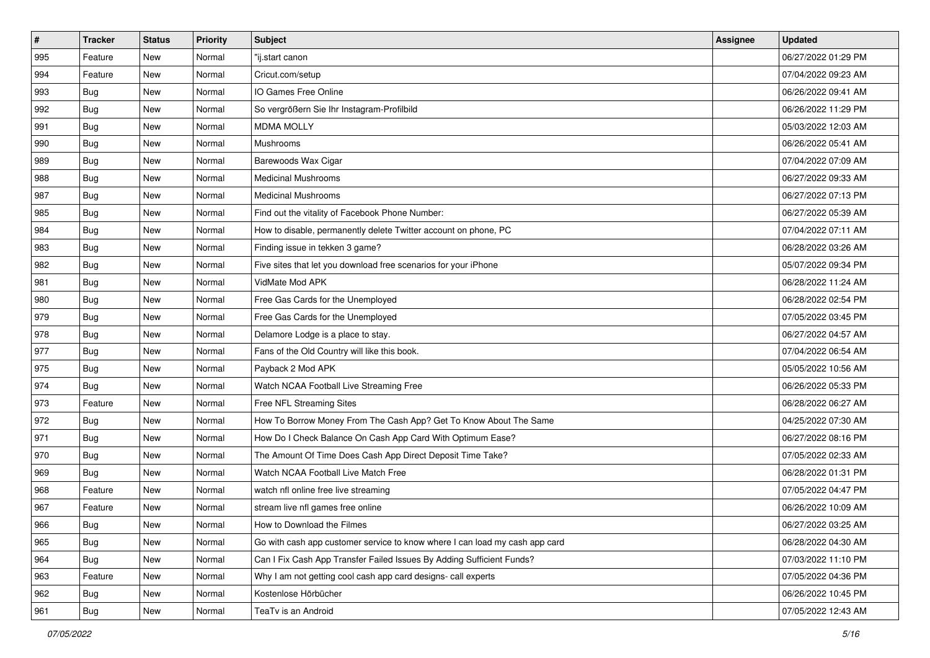| $\sharp$ | <b>Tracker</b> | <b>Status</b> | <b>Priority</b> | <b>Subject</b>                                                              | <b>Assignee</b> | <b>Updated</b>      |
|----------|----------------|---------------|-----------------|-----------------------------------------------------------------------------|-----------------|---------------------|
| 995      | Feature        | New           | Normal          | 'ij.start canon                                                             |                 | 06/27/2022 01:29 PM |
| 994      | Feature        | New           | Normal          | Cricut.com/setup                                                            |                 | 07/04/2022 09:23 AM |
| 993      | Bug            | New           | Normal          | IO Games Free Online                                                        |                 | 06/26/2022 09:41 AM |
| 992      | <b>Bug</b>     | New           | Normal          | So vergrößern Sie Ihr Instagram-Profilbild                                  |                 | 06/26/2022 11:29 PM |
| 991      | Bug            | New           | Normal          | <b>MDMA MOLLY</b>                                                           |                 | 05/03/2022 12:03 AM |
| 990      | <b>Bug</b>     | New           | Normal          | <b>Mushrooms</b>                                                            |                 | 06/26/2022 05:41 AM |
| 989      | <b>Bug</b>     | New           | Normal          | Barewoods Wax Cigar                                                         |                 | 07/04/2022 07:09 AM |
| 988      | <b>Bug</b>     | New           | Normal          | <b>Medicinal Mushrooms</b>                                                  |                 | 06/27/2022 09:33 AM |
| 987      | Bug            | New           | Normal          | <b>Medicinal Mushrooms</b>                                                  |                 | 06/27/2022 07:13 PM |
| 985      | Bug            | New           | Normal          | Find out the vitality of Facebook Phone Number:                             |                 | 06/27/2022 05:39 AM |
| 984      | <b>Bug</b>     | New           | Normal          | How to disable, permanently delete Twitter account on phone, PC             |                 | 07/04/2022 07:11 AM |
| 983      | <b>Bug</b>     | New           | Normal          | Finding issue in tekken 3 game?                                             |                 | 06/28/2022 03:26 AM |
| 982      | Bug            | New           | Normal          | Five sites that let you download free scenarios for your iPhone             |                 | 05/07/2022 09:34 PM |
| 981      | Bug            | New           | Normal          | VidMate Mod APK                                                             |                 | 06/28/2022 11:24 AM |
| 980      | Bug            | New           | Normal          | Free Gas Cards for the Unemployed                                           |                 | 06/28/2022 02:54 PM |
| 979      | Bug            | New           | Normal          | Free Gas Cards for the Unemployed                                           |                 | 07/05/2022 03:45 PM |
| 978      | <b>Bug</b>     | New           | Normal          | Delamore Lodge is a place to stay.                                          |                 | 06/27/2022 04:57 AM |
| 977      | Bug            | New           | Normal          | Fans of the Old Country will like this book.                                |                 | 07/04/2022 06:54 AM |
| 975      | Bug            | New           | Normal          | Payback 2 Mod APK                                                           |                 | 05/05/2022 10:56 AM |
| 974      | Bug            | New           | Normal          | Watch NCAA Football Live Streaming Free                                     |                 | 06/26/2022 05:33 PM |
| 973      | Feature        | New           | Normal          | Free NFL Streaming Sites                                                    |                 | 06/28/2022 06:27 AM |
| 972      | Bug            | New           | Normal          | How To Borrow Money From The Cash App? Get To Know About The Same           |                 | 04/25/2022 07:30 AM |
| 971      | Bug            | New           | Normal          | How Do I Check Balance On Cash App Card With Optimum Ease?                  |                 | 06/27/2022 08:16 PM |
| 970      | <b>Bug</b>     | New           | Normal          | The Amount Of Time Does Cash App Direct Deposit Time Take?                  |                 | 07/05/2022 02:33 AM |
| 969      | Bug            | New           | Normal          | Watch NCAA Football Live Match Free                                         |                 | 06/28/2022 01:31 PM |
| 968      | Feature        | New           | Normal          | watch nfl online free live streaming                                        |                 | 07/05/2022 04:47 PM |
| 967      | Feature        | New           | Normal          | stream live nfl games free online                                           |                 | 06/26/2022 10:09 AM |
| 966      | i Bug          | New           | Normal          | How to Download the Filmes                                                  |                 | 06/27/2022 03:25 AM |
| 965      | <b>Bug</b>     | New           | Normal          | Go with cash app customer service to know where I can load my cash app card |                 | 06/28/2022 04:30 AM |
| 964      | Bug            | New           | Normal          | Can I Fix Cash App Transfer Failed Issues By Adding Sufficient Funds?       |                 | 07/03/2022 11:10 PM |
| 963      | Feature        | New           | Normal          | Why I am not getting cool cash app card designs- call experts               |                 | 07/05/2022 04:36 PM |
| 962      | Bug            | New           | Normal          | Kostenlose Hörbücher                                                        |                 | 06/26/2022 10:45 PM |
| 961      | <b>Bug</b>     | New           | Normal          | TeaTv is an Android                                                         |                 | 07/05/2022 12:43 AM |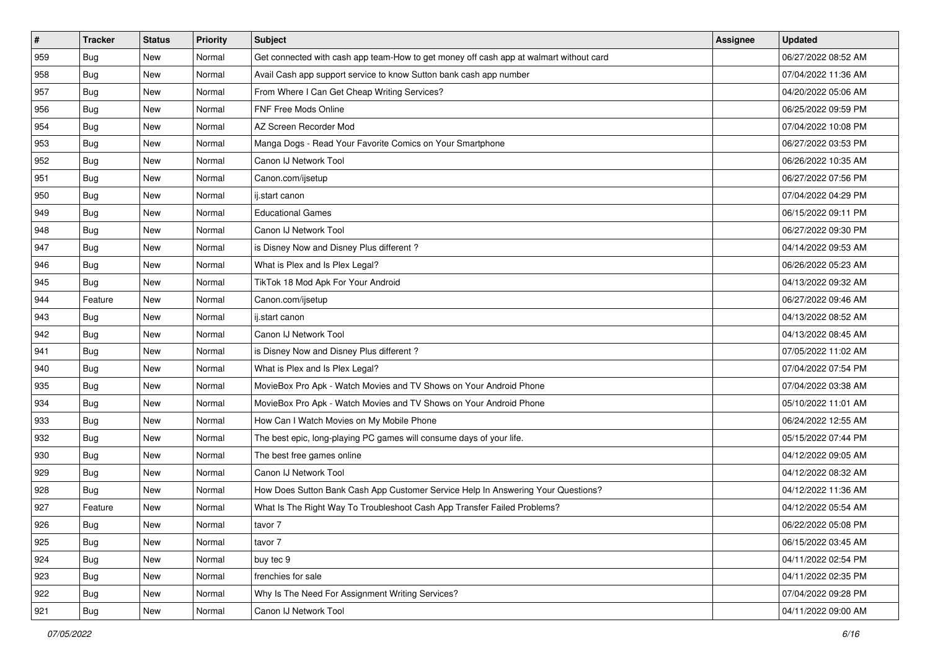| $\vert$ # | <b>Tracker</b> | <b>Status</b> | <b>Priority</b> | <b>Subject</b>                                                                         | Assignee | <b>Updated</b>      |
|-----------|----------------|---------------|-----------------|----------------------------------------------------------------------------------------|----------|---------------------|
| 959       | <b>Bug</b>     | New           | Normal          | Get connected with cash app team-How to get money off cash app at walmart without card |          | 06/27/2022 08:52 AM |
| 958       | <b>Bug</b>     | New           | Normal          | Avail Cash app support service to know Sutton bank cash app number                     |          | 07/04/2022 11:36 AM |
| 957       | Bug            | New           | Normal          | From Where I Can Get Cheap Writing Services?                                           |          | 04/20/2022 05:06 AM |
| 956       | Bug            | New           | Normal          | FNF Free Mods Online                                                                   |          | 06/25/2022 09:59 PM |
| 954       | <b>Bug</b>     | New           | Normal          | AZ Screen Recorder Mod                                                                 |          | 07/04/2022 10:08 PM |
| 953       | <b>Bug</b>     | New           | Normal          | Manga Dogs - Read Your Favorite Comics on Your Smartphone                              |          | 06/27/2022 03:53 PM |
| 952       | <b>Bug</b>     | New           | Normal          | Canon IJ Network Tool                                                                  |          | 06/26/2022 10:35 AM |
| 951       | Bug            | New           | Normal          | Canon.com/ijsetup                                                                      |          | 06/27/2022 07:56 PM |
| 950       | <b>Bug</b>     | New           | Normal          | ij.start canon                                                                         |          | 07/04/2022 04:29 PM |
| 949       | <b>Bug</b>     | New           | Normal          | <b>Educational Games</b>                                                               |          | 06/15/2022 09:11 PM |
| 948       | <b>Bug</b>     | New           | Normal          | Canon IJ Network Tool                                                                  |          | 06/27/2022 09:30 PM |
| 947       | <b>Bug</b>     | New           | Normal          | is Disney Now and Disney Plus different?                                               |          | 04/14/2022 09:53 AM |
| 946       | <b>Bug</b>     | New           | Normal          | What is Plex and Is Plex Legal?                                                        |          | 06/26/2022 05:23 AM |
| 945       | <b>Bug</b>     | New           | Normal          | TikTok 18 Mod Apk For Your Android                                                     |          | 04/13/2022 09:32 AM |
| 944       | Feature        | New           | Normal          | Canon.com/ijsetup                                                                      |          | 06/27/2022 09:46 AM |
| 943       | Bug            | New           | Normal          | ij.start canon                                                                         |          | 04/13/2022 08:52 AM |
| 942       | Bug            | New           | Normal          | Canon IJ Network Tool                                                                  |          | 04/13/2022 08:45 AM |
| 941       | <b>Bug</b>     | New           | Normal          | is Disney Now and Disney Plus different?                                               |          | 07/05/2022 11:02 AM |
| 940       | <b>Bug</b>     | New           | Normal          | What is Plex and Is Plex Legal?                                                        |          | 07/04/2022 07:54 PM |
| 935       | Bug            | New           | Normal          | MovieBox Pro Apk - Watch Movies and TV Shows on Your Android Phone                     |          | 07/04/2022 03:38 AM |
| 934       | <b>Bug</b>     | New           | Normal          | MovieBox Pro Apk - Watch Movies and TV Shows on Your Android Phone                     |          | 05/10/2022 11:01 AM |
| 933       | Bug            | New           | Normal          | How Can I Watch Movies on My Mobile Phone                                              |          | 06/24/2022 12:55 AM |
| 932       | <b>Bug</b>     | New           | Normal          | The best epic, long-playing PC games will consume days of your life.                   |          | 05/15/2022 07:44 PM |
| 930       | <b>Bug</b>     | New           | Normal          | The best free games online                                                             |          | 04/12/2022 09:05 AM |
| 929       | Bug            | New           | Normal          | Canon IJ Network Tool                                                                  |          | 04/12/2022 08:32 AM |
| 928       | <b>Bug</b>     | New           | Normal          | How Does Sutton Bank Cash App Customer Service Help In Answering Your Questions?       |          | 04/12/2022 11:36 AM |
| 927       | Feature        | New           | Normal          | What Is The Right Way To Troubleshoot Cash App Transfer Failed Problems?               |          | 04/12/2022 05:54 AM |
| 926       | Bug            | New           | Normal          | tavor 7                                                                                |          | 06/22/2022 05:08 PM |
| 925       | <b>Bug</b>     | New           | Normal          | tavor 7                                                                                |          | 06/15/2022 03:45 AM |
| 924       | <b>Bug</b>     | New           | Normal          | buy tec 9                                                                              |          | 04/11/2022 02:54 PM |
| 923       | Bug            | New           | Normal          | frenchies for sale                                                                     |          | 04/11/2022 02:35 PM |
| 922       | <b>Bug</b>     | New           | Normal          | Why Is The Need For Assignment Writing Services?                                       |          | 07/04/2022 09:28 PM |
| 921       | <b>Bug</b>     | New           | Normal          | Canon IJ Network Tool                                                                  |          | 04/11/2022 09:00 AM |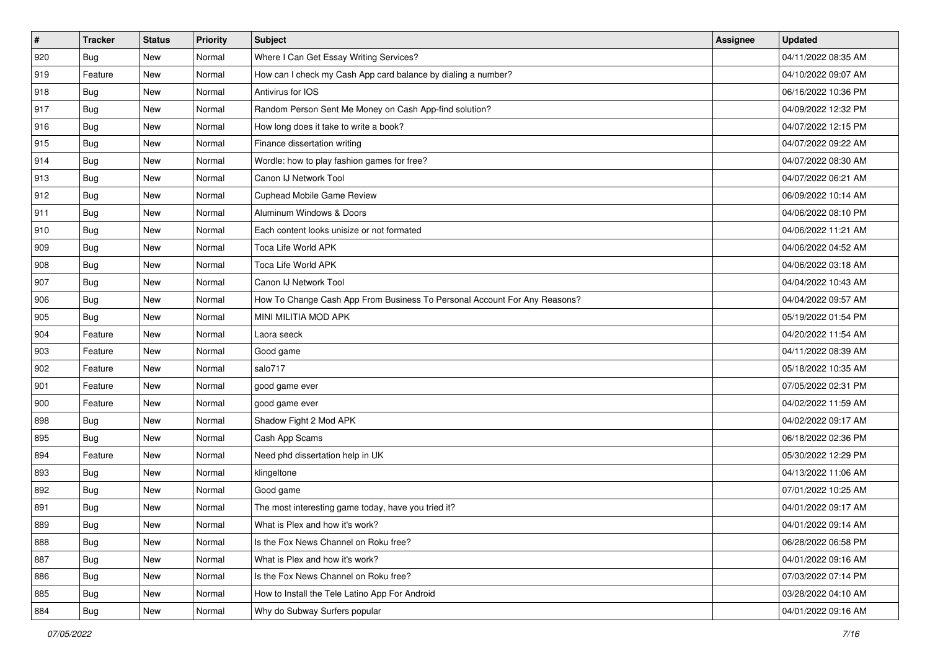| $\sharp$ | <b>Tracker</b> | <b>Status</b> | <b>Priority</b> | Subject                                                                   | Assignee | <b>Updated</b>      |
|----------|----------------|---------------|-----------------|---------------------------------------------------------------------------|----------|---------------------|
| 920      | <b>Bug</b>     | New           | Normal          | Where I Can Get Essay Writing Services?                                   |          | 04/11/2022 08:35 AM |
| 919      | Feature        | New           | Normal          | How can I check my Cash App card balance by dialing a number?             |          | 04/10/2022 09:07 AM |
| 918      | <b>Bug</b>     | New           | Normal          | Antivirus for IOS                                                         |          | 06/16/2022 10:36 PM |
| 917      | Bug            | New           | Normal          | Random Person Sent Me Money on Cash App-find solution?                    |          | 04/09/2022 12:32 PM |
| 916      | Bug            | New           | Normal          | How long does it take to write a book?                                    |          | 04/07/2022 12:15 PM |
| 915      | <b>Bug</b>     | New           | Normal          | Finance dissertation writing                                              |          | 04/07/2022 09:22 AM |
| 914      | Bug            | New           | Normal          | Wordle: how to play fashion games for free?                               |          | 04/07/2022 08:30 AM |
| 913      | <b>Bug</b>     | New           | Normal          | Canon IJ Network Tool                                                     |          | 04/07/2022 06:21 AM |
| 912      | <b>Bug</b>     | New           | Normal          | Cuphead Mobile Game Review                                                |          | 06/09/2022 10:14 AM |
| 911      | <b>Bug</b>     | New           | Normal          | Aluminum Windows & Doors                                                  |          | 04/06/2022 08:10 PM |
| 910      | <b>Bug</b>     | New           | Normal          | Each content looks unisize or not formated                                |          | 04/06/2022 11:21 AM |
| 909      | <b>Bug</b>     | New           | Normal          | <b>Toca Life World APK</b>                                                |          | 04/06/2022 04:52 AM |
| 908      | Bug            | New           | Normal          | <b>Toca Life World APK</b>                                                |          | 04/06/2022 03:18 AM |
| 907      | <b>Bug</b>     | New           | Normal          | Canon IJ Network Tool                                                     |          | 04/04/2022 10:43 AM |
| 906      | <b>Bug</b>     | New           | Normal          | How To Change Cash App From Business To Personal Account For Any Reasons? |          | 04/04/2022 09:57 AM |
| 905      | Bug            | New           | Normal          | MINI MILITIA MOD APK                                                      |          | 05/19/2022 01:54 PM |
| 904      | Feature        | New           | Normal          | Laora seeck                                                               |          | 04/20/2022 11:54 AM |
| 903      | Feature        | New           | Normal          | Good game                                                                 |          | 04/11/2022 08:39 AM |
| 902      | Feature        | New           | Normal          | salo717                                                                   |          | 05/18/2022 10:35 AM |
| 901      | Feature        | New           | Normal          | good game ever                                                            |          | 07/05/2022 02:31 PM |
| 900      | Feature        | New           | Normal          | good game ever                                                            |          | 04/02/2022 11:59 AM |
| 898      | Bug            | New           | Normal          | Shadow Fight 2 Mod APK                                                    |          | 04/02/2022 09:17 AM |
| 895      | Bug            | New           | Normal          | Cash App Scams                                                            |          | 06/18/2022 02:36 PM |
| 894      | Feature        | New           | Normal          | Need phd dissertation help in UK                                          |          | 05/30/2022 12:29 PM |
| 893      | Bug            | New           | Normal          | klingeltone                                                               |          | 04/13/2022 11:06 AM |
| 892      | Bug            | New           | Normal          | Good game                                                                 |          | 07/01/2022 10:25 AM |
| 891      | <b>Bug</b>     | New           | Normal          | The most interesting game today, have you tried it?                       |          | 04/01/2022 09:17 AM |
| 889      | <b>Bug</b>     | New           | Normal          | What is Plex and how it's work?                                           |          | 04/01/2022 09:14 AM |
| 888      | <b>Bug</b>     | New           | Normal          | Is the Fox News Channel on Roku free?                                     |          | 06/28/2022 06:58 PM |
| 887      | <b>Bug</b>     | New           | Normal          | What is Plex and how it's work?                                           |          | 04/01/2022 09:16 AM |
| 886      | Bug            | New           | Normal          | Is the Fox News Channel on Roku free?                                     |          | 07/03/2022 07:14 PM |
| 885      | <b>Bug</b>     | New           | Normal          | How to Install the Tele Latino App For Android                            |          | 03/28/2022 04:10 AM |
| 884      | <b>Bug</b>     | New           | Normal          | Why do Subway Surfers popular                                             |          | 04/01/2022 09:16 AM |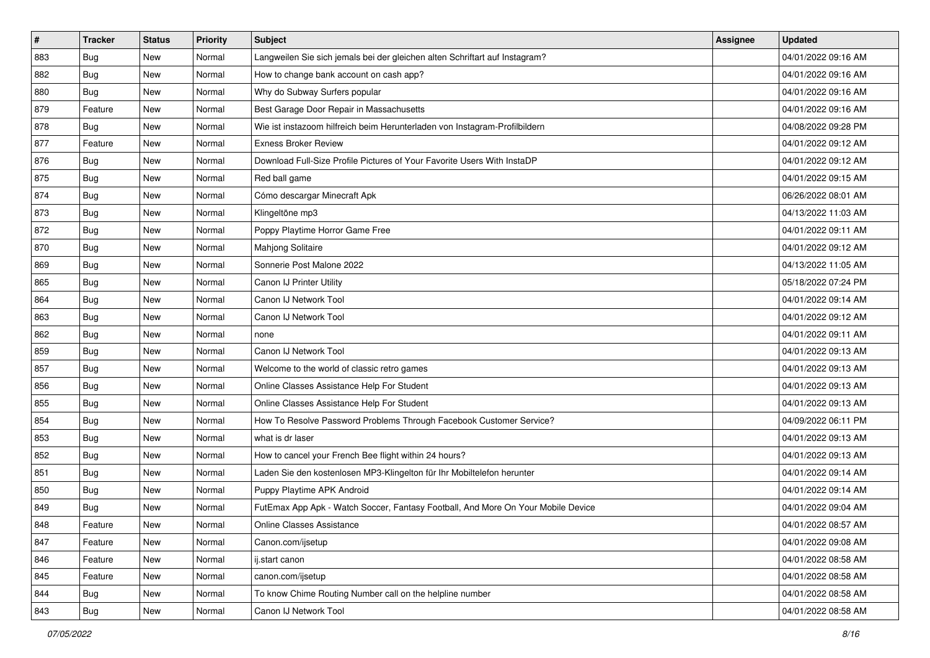| $\sharp$ | <b>Tracker</b> | <b>Status</b> | <b>Priority</b> | Subject                                                                          | <b>Assignee</b> | <b>Updated</b>      |
|----------|----------------|---------------|-----------------|----------------------------------------------------------------------------------|-----------------|---------------------|
| 883      | <b>Bug</b>     | New           | Normal          | Langweilen Sie sich jemals bei der gleichen alten Schriftart auf Instagram?      |                 | 04/01/2022 09:16 AM |
| 882      | Bug            | New           | Normal          | How to change bank account on cash app?                                          |                 | 04/01/2022 09:16 AM |
| 880      | <b>Bug</b>     | New           | Normal          | Why do Subway Surfers popular                                                    |                 | 04/01/2022 09:16 AM |
| 879      | Feature        | New           | Normal          | Best Garage Door Repair in Massachusetts                                         |                 | 04/01/2022 09:16 AM |
| 878      | <b>Bug</b>     | New           | Normal          | Wie ist instazoom hilfreich beim Herunterladen von Instagram-Profilbildern       |                 | 04/08/2022 09:28 PM |
| 877      | Feature        | New           | Normal          | <b>Exness Broker Review</b>                                                      |                 | 04/01/2022 09:12 AM |
| 876      | Bug            | New           | Normal          | Download Full-Size Profile Pictures of Your Favorite Users With InstaDP          |                 | 04/01/2022 09:12 AM |
| 875      | <b>Bug</b>     | New           | Normal          | Red ball game                                                                    |                 | 04/01/2022 09:15 AM |
| 874      | Bug            | New           | Normal          | Cómo descargar Minecraft Apk                                                     |                 | 06/26/2022 08:01 AM |
| 873      | <b>Bug</b>     | New           | Normal          | Klingeltöne mp3                                                                  |                 | 04/13/2022 11:03 AM |
| 872      | <b>Bug</b>     | New           | Normal          | Poppy Playtime Horror Game Free                                                  |                 | 04/01/2022 09:11 AM |
| 870      | Bug            | New           | Normal          | Mahjong Solitaire                                                                |                 | 04/01/2022 09:12 AM |
| 869      | Bug            | New           | Normal          | Sonnerie Post Malone 2022                                                        |                 | 04/13/2022 11:05 AM |
| 865      | <b>Bug</b>     | New           | Normal          | Canon IJ Printer Utility                                                         |                 | 05/18/2022 07:24 PM |
| 864      | <b>Bug</b>     | New           | Normal          | Canon IJ Network Tool                                                            |                 | 04/01/2022 09:14 AM |
| 863      | Bug            | New           | Normal          | Canon IJ Network Tool                                                            |                 | 04/01/2022 09:12 AM |
| 862      | <b>Bug</b>     | New           | Normal          | none                                                                             |                 | 04/01/2022 09:11 AM |
| 859      | Bug            | New           | Normal          | Canon IJ Network Tool                                                            |                 | 04/01/2022 09:13 AM |
| 857      | <b>Bug</b>     | New           | Normal          | Welcome to the world of classic retro games                                      |                 | 04/01/2022 09:13 AM |
| 856      | Bug            | New           | Normal          | Online Classes Assistance Help For Student                                       |                 | 04/01/2022 09:13 AM |
| 855      | <b>Bug</b>     | New           | Normal          | Online Classes Assistance Help For Student                                       |                 | 04/01/2022 09:13 AM |
| 854      | Bug            | New           | Normal          | How To Resolve Password Problems Through Facebook Customer Service?              |                 | 04/09/2022 06:11 PM |
| 853      | Bug            | New           | Normal          | what is dr laser                                                                 |                 | 04/01/2022 09:13 AM |
| 852      | <b>Bug</b>     | New           | Normal          | How to cancel your French Bee flight within 24 hours?                            |                 | 04/01/2022 09:13 AM |
| 851      | <b>Bug</b>     | New           | Normal          | Laden Sie den kostenlosen MP3-Klingelton für Ihr Mobiltelefon herunter           |                 | 04/01/2022 09:14 AM |
| 850      | Bug            | New           | Normal          | Puppy Playtime APK Android                                                       |                 | 04/01/2022 09:14 AM |
| 849      | <b>Bug</b>     | New           | Normal          | FutEmax App Apk - Watch Soccer, Fantasy Football, And More On Your Mobile Device |                 | 04/01/2022 09:04 AM |
| 848      | Feature        | New           | Normal          | Online Classes Assistance                                                        |                 | 04/01/2022 08:57 AM |
| 847      | Feature        | New           | Normal          | Canon.com/ijsetup                                                                |                 | 04/01/2022 09:08 AM |
| 846      | Feature        | New           | Normal          | ij.start canon                                                                   |                 | 04/01/2022 08:58 AM |
| 845      | Feature        | New           | Normal          | canon.com/ijsetup                                                                |                 | 04/01/2022 08:58 AM |
| 844      | <b>Bug</b>     | New           | Normal          | To know Chime Routing Number call on the helpline number                         |                 | 04/01/2022 08:58 AM |
| 843      | <b>Bug</b>     | New           | Normal          | Canon IJ Network Tool                                                            |                 | 04/01/2022 08:58 AM |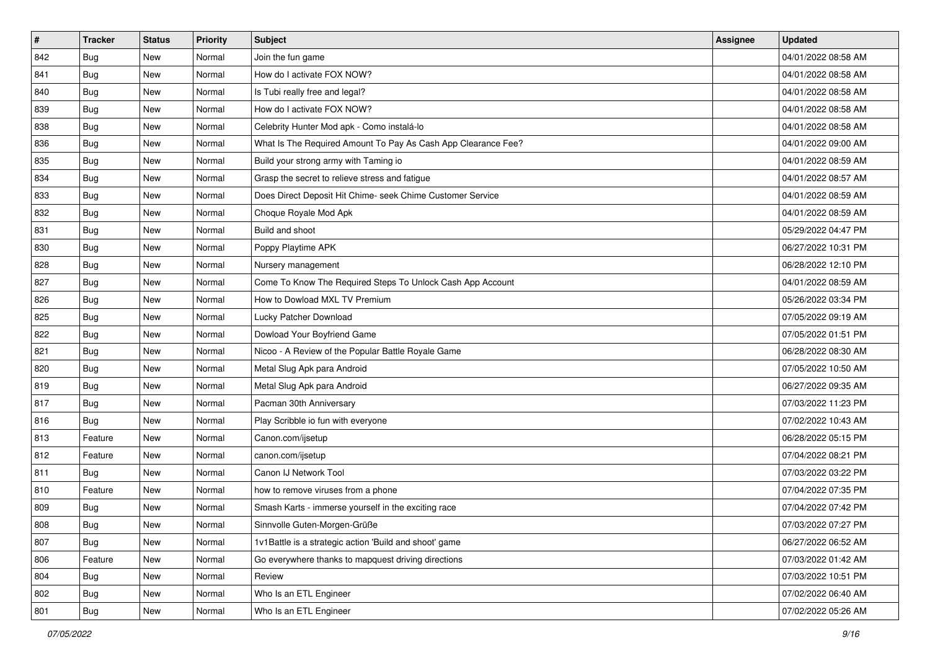| $\vert$ # | <b>Tracker</b> | <b>Status</b> | <b>Priority</b> | <b>Subject</b>                                                | Assignee | <b>Updated</b>      |
|-----------|----------------|---------------|-----------------|---------------------------------------------------------------|----------|---------------------|
| 842       | <b>Bug</b>     | New           | Normal          | Join the fun game                                             |          | 04/01/2022 08:58 AM |
| 841       | Bug            | New           | Normal          | How do I activate FOX NOW?                                    |          | 04/01/2022 08:58 AM |
| 840       | Bug            | New           | Normal          | Is Tubi really free and legal?                                |          | 04/01/2022 08:58 AM |
| 839       | <b>Bug</b>     | New           | Normal          | How do I activate FOX NOW?                                    |          | 04/01/2022 08:58 AM |
| 838       | Bug            | New           | Normal          | Celebrity Hunter Mod apk - Como instalá-lo                    |          | 04/01/2022 08:58 AM |
| 836       | <b>Bug</b>     | New           | Normal          | What Is The Required Amount To Pay As Cash App Clearance Fee? |          | 04/01/2022 09:00 AM |
| 835       | Bug            | New           | Normal          | Build your strong army with Taming io                         |          | 04/01/2022 08:59 AM |
| 834       | <b>Bug</b>     | New           | Normal          | Grasp the secret to relieve stress and fatigue                |          | 04/01/2022 08:57 AM |
| 833       | Bug            | New           | Normal          | Does Direct Deposit Hit Chime- seek Chime Customer Service    |          | 04/01/2022 08:59 AM |
| 832       | <b>Bug</b>     | New           | Normal          | Choque Royale Mod Apk                                         |          | 04/01/2022 08:59 AM |
| 831       | <b>Bug</b>     | New           | Normal          | Build and shoot                                               |          | 05/29/2022 04:47 PM |
| 830       | <b>Bug</b>     | New           | Normal          | Poppy Playtime APK                                            |          | 06/27/2022 10:31 PM |
| 828       | Bug            | New           | Normal          | Nursery management                                            |          | 06/28/2022 12:10 PM |
| 827       | Bug            | New           | Normal          | Come To Know The Required Steps To Unlock Cash App Account    |          | 04/01/2022 08:59 AM |
| 826       | Bug            | New           | Normal          | How to Dowload MXL TV Premium                                 |          | 05/26/2022 03:34 PM |
| 825       | Bug            | New           | Normal          | Lucky Patcher Download                                        |          | 07/05/2022 09:19 AM |
| 822       | <b>Bug</b>     | New           | Normal          | Dowload Your Boyfriend Game                                   |          | 07/05/2022 01:51 PM |
| 821       | Bug            | New           | Normal          | Nicoo - A Review of the Popular Battle Royale Game            |          | 06/28/2022 08:30 AM |
| 820       | Bug            | New           | Normal          | Metal Slug Apk para Android                                   |          | 07/05/2022 10:50 AM |
| 819       | <b>Bug</b>     | New           | Normal          | Metal Slug Apk para Android                                   |          | 06/27/2022 09:35 AM |
| 817       | <b>Bug</b>     | New           | Normal          | Pacman 30th Anniversary                                       |          | 07/03/2022 11:23 PM |
| 816       | <b>Bug</b>     | New           | Normal          | Play Scribble io fun with everyone                            |          | 07/02/2022 10:43 AM |
| 813       | Feature        | New           | Normal          | Canon.com/ijsetup                                             |          | 06/28/2022 05:15 PM |
| 812       | Feature        | New           | Normal          | canon.com/ijsetup                                             |          | 07/04/2022 08:21 PM |
| 811       | <b>Bug</b>     | New           | Normal          | Canon IJ Network Tool                                         |          | 07/03/2022 03:22 PM |
| 810       | Feature        | New           | Normal          | how to remove viruses from a phone                            |          | 07/04/2022 07:35 PM |
| 809       | <b>Bug</b>     | New           | Normal          | Smash Karts - immerse yourself in the exciting race           |          | 07/04/2022 07:42 PM |
| 808       | Bug            | New           | Normal          | Sinnvolle Guten-Morgen-Grüße                                  |          | 07/03/2022 07:27 PM |
| 807       | <b>Bug</b>     | New           | Normal          | 1v1Battle is a strategic action 'Build and shoot' game        |          | 06/27/2022 06:52 AM |
| 806       | Feature        | New           | Normal          | Go everywhere thanks to mapquest driving directions           |          | 07/03/2022 01:42 AM |
| 804       | <b>Bug</b>     | New           | Normal          | Review                                                        |          | 07/03/2022 10:51 PM |
| 802       | <b>Bug</b>     | New           | Normal          | Who Is an ETL Engineer                                        |          | 07/02/2022 06:40 AM |
| 801       | <b>Bug</b>     | New           | Normal          | Who Is an ETL Engineer                                        |          | 07/02/2022 05:26 AM |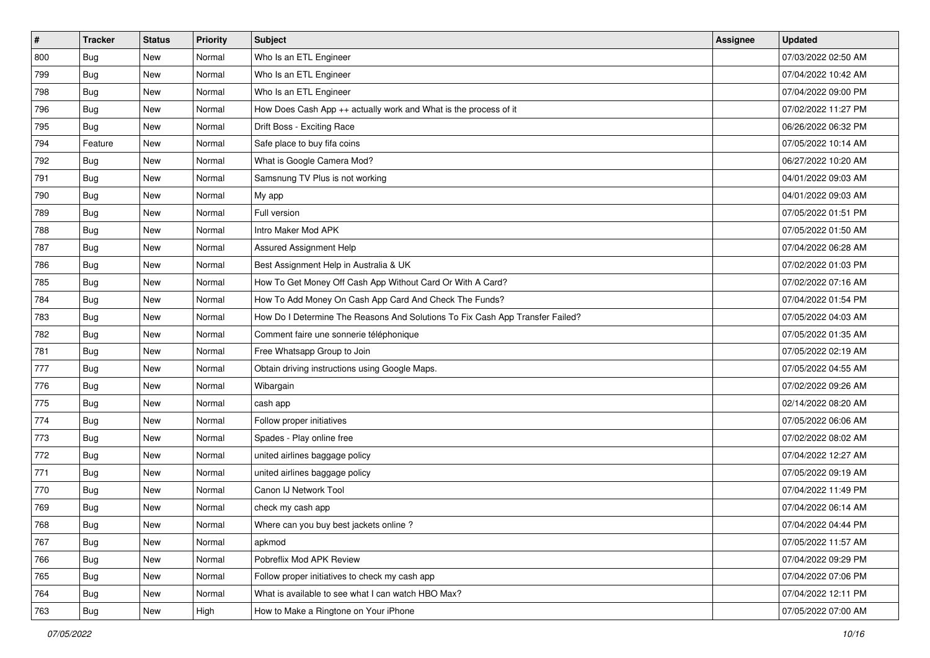| #   | <b>Tracker</b> | <b>Status</b> | <b>Priority</b> | Subject                                                                       | Assignee | <b>Updated</b>      |
|-----|----------------|---------------|-----------------|-------------------------------------------------------------------------------|----------|---------------------|
| 800 | <b>Bug</b>     | New           | Normal          | Who Is an ETL Engineer                                                        |          | 07/03/2022 02:50 AM |
| 799 | Bug            | New           | Normal          | Who Is an ETL Engineer                                                        |          | 07/04/2022 10:42 AM |
| 798 | <b>Bug</b>     | New           | Normal          | Who Is an ETL Engineer                                                        |          | 07/04/2022 09:00 PM |
| 796 | <b>Bug</b>     | New           | Normal          | How Does Cash App ++ actually work and What is the process of it              |          | 07/02/2022 11:27 PM |
| 795 | Bug            | New           | Normal          | Drift Boss - Exciting Race                                                    |          | 06/26/2022 06:32 PM |
| 794 | Feature        | New           | Normal          | Safe place to buy fifa coins                                                  |          | 07/05/2022 10:14 AM |
| 792 | <b>Bug</b>     | New           | Normal          | What is Google Camera Mod?                                                    |          | 06/27/2022 10:20 AM |
| 791 | Bug            | New           | Normal          | Samsnung TV Plus is not working                                               |          | 04/01/2022 09:03 AM |
| 790 | Bug            | New           | Normal          | My app                                                                        |          | 04/01/2022 09:03 AM |
| 789 | <b>Bug</b>     | New           | Normal          | Full version                                                                  |          | 07/05/2022 01:51 PM |
| 788 | Bug            | New           | Normal          | Intro Maker Mod APK                                                           |          | 07/05/2022 01:50 AM |
| 787 | Bug            | New           | Normal          | Assured Assignment Help                                                       |          | 07/04/2022 06:28 AM |
| 786 | Bug            | New           | Normal          | Best Assignment Help in Australia & UK                                        |          | 07/02/2022 01:03 PM |
| 785 | <b>Bug</b>     | New           | Normal          | How To Get Money Off Cash App Without Card Or With A Card?                    |          | 07/02/2022 07:16 AM |
| 784 | <b>Bug</b>     | New           | Normal          | How To Add Money On Cash App Card And Check The Funds?                        |          | 07/04/2022 01:54 PM |
| 783 | <b>Bug</b>     | New           | Normal          | How Do I Determine The Reasons And Solutions To Fix Cash App Transfer Failed? |          | 07/05/2022 04:03 AM |
| 782 | <b>Bug</b>     | New           | Normal          | Comment faire une sonnerie téléphonique                                       |          | 07/05/2022 01:35 AM |
| 781 | Bug            | New           | Normal          | Free Whatsapp Group to Join                                                   |          | 07/05/2022 02:19 AM |
| 777 | <b>Bug</b>     | New           | Normal          | Obtain driving instructions using Google Maps.                                |          | 07/05/2022 04:55 AM |
| 776 | <b>Bug</b>     | New           | Normal          | Wibargain                                                                     |          | 07/02/2022 09:26 AM |
| 775 | Bug            | New           | Normal          | cash app                                                                      |          | 02/14/2022 08:20 AM |
| 774 | <b>Bug</b>     | New           | Normal          | Follow proper initiatives                                                     |          | 07/05/2022 06:06 AM |
| 773 | <b>Bug</b>     | New           | Normal          | Spades - Play online free                                                     |          | 07/02/2022 08:02 AM |
| 772 | <b>Bug</b>     | New           | Normal          | united airlines baggage policy                                                |          | 07/04/2022 12:27 AM |
| 771 | <b>Bug</b>     | New           | Normal          | united airlines baggage policy                                                |          | 07/05/2022 09:19 AM |
| 770 | Bug            | New           | Normal          | Canon IJ Network Tool                                                         |          | 07/04/2022 11:49 PM |
| 769 | <b>Bug</b>     | New           | Normal          | check my cash app                                                             |          | 07/04/2022 06:14 AM |
| 768 | Bug            | New           | Normal          | Where can you buy best jackets online?                                        |          | 07/04/2022 04:44 PM |
| 767 | Bug            | New           | Normal          | apkmod                                                                        |          | 07/05/2022 11:57 AM |
| 766 | <b>Bug</b>     | New           | Normal          | Pobreflix Mod APK Review                                                      |          | 07/04/2022 09:29 PM |
| 765 | Bug            | New           | Normal          | Follow proper initiatives to check my cash app                                |          | 07/04/2022 07:06 PM |
| 764 | Bug            | New           | Normal          | What is available to see what I can watch HBO Max?                            |          | 07/04/2022 12:11 PM |
| 763 | <b>Bug</b>     | New           | High            | How to Make a Ringtone on Your iPhone                                         |          | 07/05/2022 07:00 AM |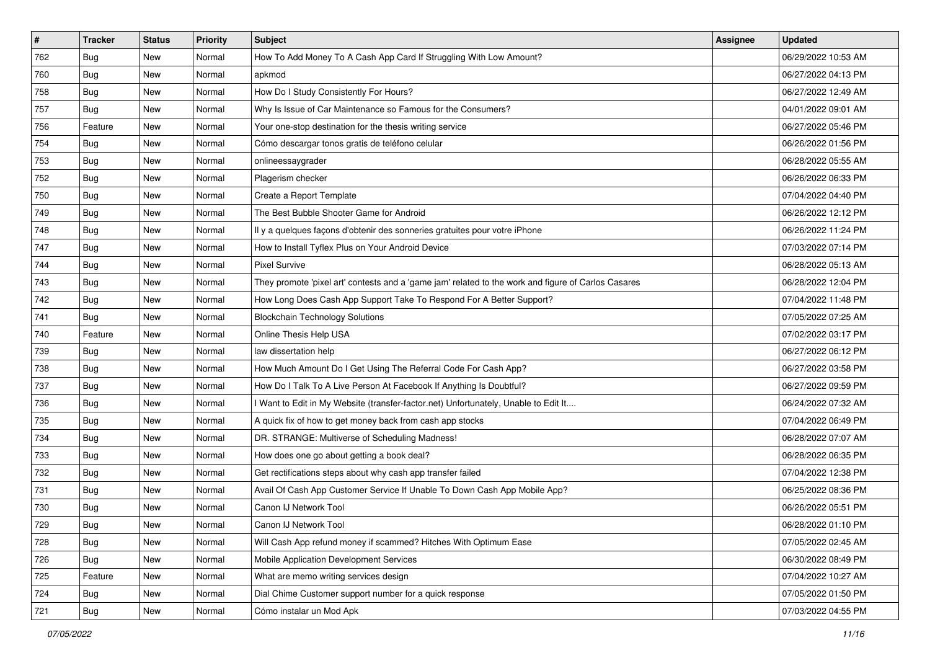| #   | <b>Tracker</b> | <b>Status</b> | <b>Priority</b> | Subject                                                                                             | Assignee | <b>Updated</b>      |
|-----|----------------|---------------|-----------------|-----------------------------------------------------------------------------------------------------|----------|---------------------|
| 762 | <b>Bug</b>     | New           | Normal          | How To Add Money To A Cash App Card If Struggling With Low Amount?                                  |          | 06/29/2022 10:53 AM |
| 760 | <b>Bug</b>     | New           | Normal          | apkmod                                                                                              |          | 06/27/2022 04:13 PM |
| 758 | <b>Bug</b>     | New           | Normal          | How Do I Study Consistently For Hours?                                                              |          | 06/27/2022 12:49 AM |
| 757 | <b>Bug</b>     | New           | Normal          | Why Is Issue of Car Maintenance so Famous for the Consumers?                                        |          | 04/01/2022 09:01 AM |
| 756 | Feature        | New           | Normal          | Your one-stop destination for the thesis writing service                                            |          | 06/27/2022 05:46 PM |
| 754 | <b>Bug</b>     | New           | Normal          | Cómo descargar tonos gratis de teléfono celular                                                     |          | 06/26/2022 01:56 PM |
| 753 | Bug            | New           | Normal          | onlineessaygrader                                                                                   |          | 06/28/2022 05:55 AM |
| 752 | <b>Bug</b>     | New           | Normal          | Plagerism checker                                                                                   |          | 06/26/2022 06:33 PM |
| 750 | <b>Bug</b>     | New           | Normal          | Create a Report Template                                                                            |          | 07/04/2022 04:40 PM |
| 749 | Bug            | New           | Normal          | The Best Bubble Shooter Game for Android                                                            |          | 06/26/2022 12:12 PM |
| 748 | <b>Bug</b>     | New           | Normal          | Il y a quelques façons d'obtenir des sonneries gratuites pour votre iPhone                          |          | 06/26/2022 11:24 PM |
| 747 | Bug            | New           | Normal          | How to Install Tyflex Plus on Your Android Device                                                   |          | 07/03/2022 07:14 PM |
| 744 | Bug            | New           | Normal          | <b>Pixel Survive</b>                                                                                |          | 06/28/2022 05:13 AM |
| 743 | <b>Bug</b>     | New           | Normal          | They promote 'pixel art' contests and a 'game jam' related to the work and figure of Carlos Casares |          | 06/28/2022 12:04 PM |
| 742 | Bug            | New           | Normal          | How Long Does Cash App Support Take To Respond For A Better Support?                                |          | 07/04/2022 11:48 PM |
| 741 | Bug            | New           | Normal          | <b>Blockchain Technology Solutions</b>                                                              |          | 07/05/2022 07:25 AM |
| 740 | Feature        | New           | Normal          | Online Thesis Help USA                                                                              |          | 07/02/2022 03:17 PM |
| 739 | Bug            | New           | Normal          | law dissertation help                                                                               |          | 06/27/2022 06:12 PM |
| 738 | Bug            | New           | Normal          | How Much Amount Do I Get Using The Referral Code For Cash App?                                      |          | 06/27/2022 03:58 PM |
| 737 | <b>Bug</b>     | New           | Normal          | How Do I Talk To A Live Person At Facebook If Anything Is Doubtful?                                 |          | 06/27/2022 09:59 PM |
| 736 | Bug            | New           | Normal          | I Want to Edit in My Website (transfer-factor.net) Unfortunately, Unable to Edit It                 |          | 06/24/2022 07:32 AM |
| 735 | Bug            | New           | Normal          | A quick fix of how to get money back from cash app stocks                                           |          | 07/04/2022 06:49 PM |
| 734 | Bug            | New           | Normal          | DR. STRANGE: Multiverse of Scheduling Madness!                                                      |          | 06/28/2022 07:07 AM |
| 733 | <b>Bug</b>     | New           | Normal          | How does one go about getting a book deal?                                                          |          | 06/28/2022 06:35 PM |
| 732 | Bug            | New           | Normal          | Get rectifications steps about why cash app transfer failed                                         |          | 07/04/2022 12:38 PM |
| 731 | Bug            | New           | Normal          | Avail Of Cash App Customer Service If Unable To Down Cash App Mobile App?                           |          | 06/25/2022 08:36 PM |
| 730 | <b>Bug</b>     | New           | Normal          | Canon IJ Network Tool                                                                               |          | 06/26/2022 05:51 PM |
| 729 | Bug            | New           | Normal          | Canon IJ Network Tool                                                                               |          | 06/28/2022 01:10 PM |
| 728 | <b>Bug</b>     | New           | Normal          | Will Cash App refund money if scammed? Hitches With Optimum Ease                                    |          | 07/05/2022 02:45 AM |
| 726 | <b>Bug</b>     | New           | Normal          | Mobile Application Development Services                                                             |          | 06/30/2022 08:49 PM |
| 725 | Feature        | New           | Normal          | What are memo writing services design                                                               |          | 07/04/2022 10:27 AM |
| 724 | Bug            | New           | Normal          | Dial Chime Customer support number for a quick response                                             |          | 07/05/2022 01:50 PM |
| 721 | <b>Bug</b>     | New           | Normal          | Cómo instalar un Mod Apk                                                                            |          | 07/03/2022 04:55 PM |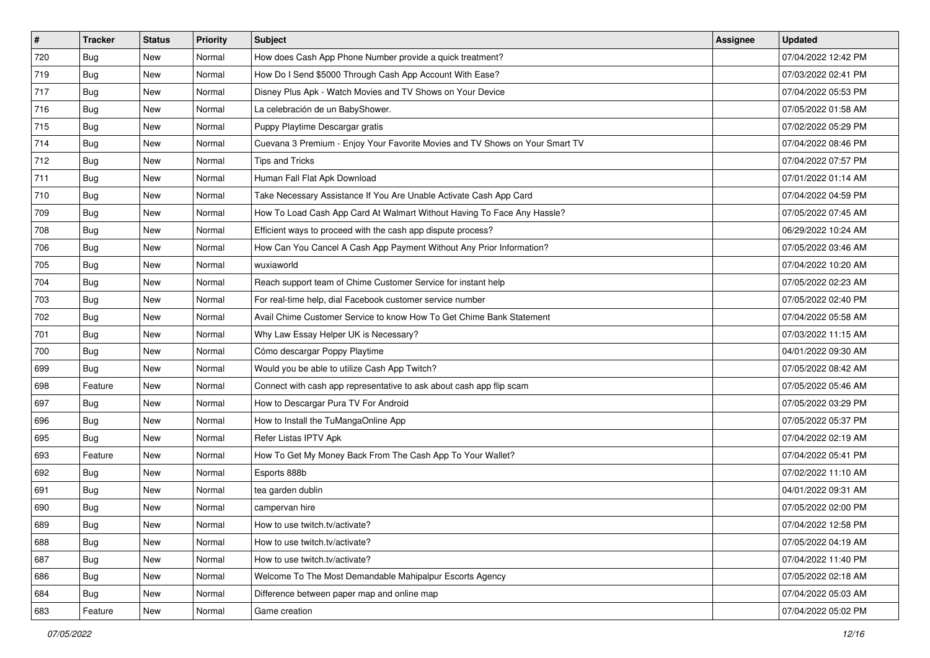| $\vert$ # | <b>Tracker</b> | <b>Status</b> | <b>Priority</b> | <b>Subject</b>                                                               | Assignee | <b>Updated</b>      |
|-----------|----------------|---------------|-----------------|------------------------------------------------------------------------------|----------|---------------------|
| 720       | <b>Bug</b>     | New           | Normal          | How does Cash App Phone Number provide a quick treatment?                    |          | 07/04/2022 12:42 PM |
| 719       | Bug            | New           | Normal          | How Do I Send \$5000 Through Cash App Account With Ease?                     |          | 07/03/2022 02:41 PM |
| 717       | <b>Bug</b>     | New           | Normal          | Disney Plus Apk - Watch Movies and TV Shows on Your Device                   |          | 07/04/2022 05:53 PM |
| 716       | <b>Bug</b>     | New           | Normal          | La celebración de un BabyShower.                                             |          | 07/05/2022 01:58 AM |
| 715       | Bug            | New           | Normal          | Puppy Playtime Descargar gratis                                              |          | 07/02/2022 05:29 PM |
| 714       | <b>Bug</b>     | New           | Normal          | Cuevana 3 Premium - Enjoy Your Favorite Movies and TV Shows on Your Smart TV |          | 07/04/2022 08:46 PM |
| 712       | <b>Bug</b>     | New           | Normal          | Tips and Tricks                                                              |          | 07/04/2022 07:57 PM |
| 711       | <b>Bug</b>     | New           | Normal          | Human Fall Flat Apk Download                                                 |          | 07/01/2022 01:14 AM |
| 710       | Bug            | New           | Normal          | Take Necessary Assistance If You Are Unable Activate Cash App Card           |          | 07/04/2022 04:59 PM |
| 709       | Bug            | New           | Normal          | How To Load Cash App Card At Walmart Without Having To Face Any Hassle?      |          | 07/05/2022 07:45 AM |
| 708       | <b>Bug</b>     | New           | Normal          | Efficient ways to proceed with the cash app dispute process?                 |          | 06/29/2022 10:24 AM |
| 706       | Bug            | New           | Normal          | How Can You Cancel A Cash App Payment Without Any Prior Information?         |          | 07/05/2022 03:46 AM |
| 705       | <b>Bug</b>     | New           | Normal          | wuxiaworld                                                                   |          | 07/04/2022 10:20 AM |
| 704       | <b>Bug</b>     | New           | Normal          | Reach support team of Chime Customer Service for instant help                |          | 07/05/2022 02:23 AM |
| 703       | Bug            | New           | Normal          | For real-time help, dial Facebook customer service number                    |          | 07/05/2022 02:40 PM |
| 702       | Bug            | New           | Normal          | Avail Chime Customer Service to know How To Get Chime Bank Statement         |          | 07/04/2022 05:58 AM |
| 701       | <b>Bug</b>     | New           | Normal          | Why Law Essay Helper UK is Necessary?                                        |          | 07/03/2022 11:15 AM |
| 700       | <b>Bug</b>     | New           | Normal          | Cómo descargar Poppy Playtime                                                |          | 04/01/2022 09:30 AM |
| 699       | <b>Bug</b>     | New           | Normal          | Would you be able to utilize Cash App Twitch?                                |          | 07/05/2022 08:42 AM |
| 698       | Feature        | New           | Normal          | Connect with cash app representative to ask about cash app flip scam         |          | 07/05/2022 05:46 AM |
| 697       | <b>Bug</b>     | New           | Normal          | How to Descargar Pura TV For Android                                         |          | 07/05/2022 03:29 PM |
| 696       | Bug            | New           | Normal          | How to Install the TuMangaOnline App                                         |          | 07/05/2022 05:37 PM |
| 695       | Bug            | New           | Normal          | Refer Listas IPTV Apk                                                        |          | 07/04/2022 02:19 AM |
| 693       | Feature        | New           | Normal          | How To Get My Money Back From The Cash App To Your Wallet?                   |          | 07/04/2022 05:41 PM |
| 692       | Bug            | New           | Normal          | Esports 888b                                                                 |          | 07/02/2022 11:10 AM |
| 691       | <b>Bug</b>     | New           | Normal          | tea garden dublin                                                            |          | 04/01/2022 09:31 AM |
| 690       | <b>Bug</b>     | New           | Normal          | campervan hire                                                               |          | 07/05/2022 02:00 PM |
| 689       | <b>Bug</b>     | New           | Normal          | How to use twitch.tv/activate?                                               |          | 07/04/2022 12:58 PM |
| 688       | Bug            | New           | Normal          | How to use twitch.tv/activate?                                               |          | 07/05/2022 04:19 AM |
| 687       | <b>Bug</b>     | New           | Normal          | How to use twitch.tv/activate?                                               |          | 07/04/2022 11:40 PM |
| 686       | Bug            | New           | Normal          | Welcome To The Most Demandable Mahipalpur Escorts Agency                     |          | 07/05/2022 02:18 AM |
| 684       | <b>Bug</b>     | New           | Normal          | Difference between paper map and online map                                  |          | 07/04/2022 05:03 AM |
| 683       | Feature        | New           | Normal          | Game creation                                                                |          | 07/04/2022 05:02 PM |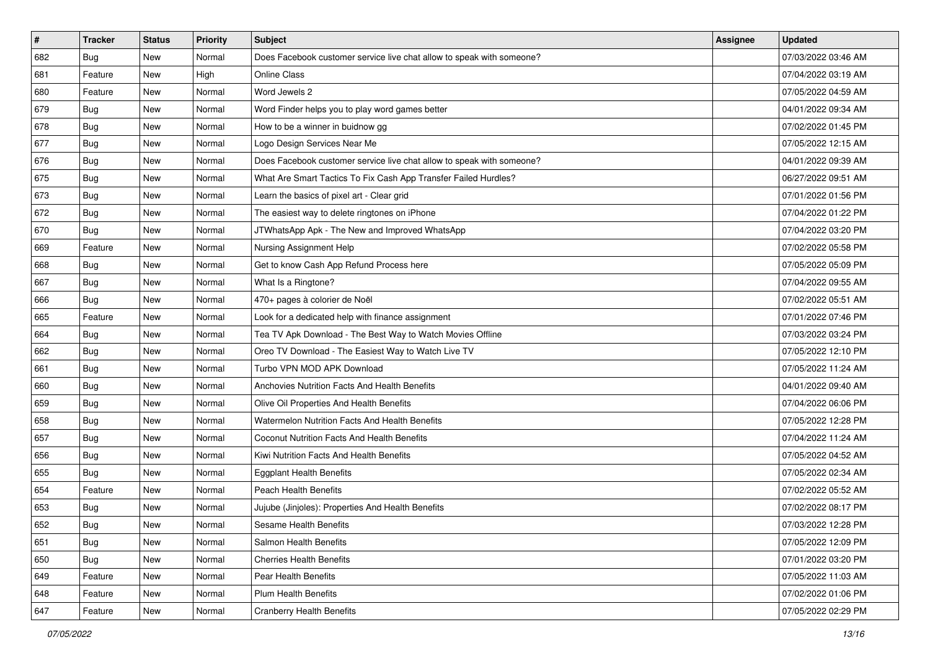| $\sharp$ | <b>Tracker</b> | <b>Status</b> | <b>Priority</b> | Subject                                                               | <b>Assignee</b> | <b>Updated</b>      |
|----------|----------------|---------------|-----------------|-----------------------------------------------------------------------|-----------------|---------------------|
| 682      | <b>Bug</b>     | New           | Normal          | Does Facebook customer service live chat allow to speak with someone? |                 | 07/03/2022 03:46 AM |
| 681      | Feature        | New           | High            | <b>Online Class</b>                                                   |                 | 07/04/2022 03:19 AM |
| 680      | Feature        | New           | Normal          | Word Jewels 2                                                         |                 | 07/05/2022 04:59 AM |
| 679      | <b>Bug</b>     | New           | Normal          | Word Finder helps you to play word games better                       |                 | 04/01/2022 09:34 AM |
| 678      | Bug            | New           | Normal          | How to be a winner in buidnow gg                                      |                 | 07/02/2022 01:45 PM |
| 677      | <b>Bug</b>     | New           | Normal          | Logo Design Services Near Me                                          |                 | 07/05/2022 12:15 AM |
| 676      | Bug            | New           | Normal          | Does Facebook customer service live chat allow to speak with someone? |                 | 04/01/2022 09:39 AM |
| 675      | <b>Bug</b>     | New           | Normal          | What Are Smart Tactics To Fix Cash App Transfer Failed Hurdles?       |                 | 06/27/2022 09:51 AM |
| 673      | Bug            | New           | Normal          | Learn the basics of pixel art - Clear grid                            |                 | 07/01/2022 01:56 PM |
| 672      | Bug            | New           | Normal          | The easiest way to delete ringtones on iPhone                         |                 | 07/04/2022 01:22 PM |
| 670      | <b>Bug</b>     | New           | Normal          | JTWhatsApp Apk - The New and Improved WhatsApp                        |                 | 07/04/2022 03:20 PM |
| 669      | Feature        | New           | Normal          | Nursing Assignment Help                                               |                 | 07/02/2022 05:58 PM |
| 668      | Bug            | New           | Normal          | Get to know Cash App Refund Process here                              |                 | 07/05/2022 05:09 PM |
| 667      | <b>Bug</b>     | New           | Normal          | What Is a Ringtone?                                                   |                 | 07/04/2022 09:55 AM |
| 666      | <b>Bug</b>     | New           | Normal          | 470+ pages à colorier de Noël                                         |                 | 07/02/2022 05:51 AM |
| 665      | Feature        | New           | Normal          | Look for a dedicated help with finance assignment                     |                 | 07/01/2022 07:46 PM |
| 664      | <b>Bug</b>     | New           | Normal          | Tea TV Apk Download - The Best Way to Watch Movies Offline            |                 | 07/03/2022 03:24 PM |
| 662      | Bug            | New           | Normal          | Oreo TV Download - The Easiest Way to Watch Live TV                   |                 | 07/05/2022 12:10 PM |
| 661      | <b>Bug</b>     | New           | Normal          | Turbo VPN MOD APK Download                                            |                 | 07/05/2022 11:24 AM |
| 660      | <b>Bug</b>     | New           | Normal          | Anchovies Nutrition Facts And Health Benefits                         |                 | 04/01/2022 09:40 AM |
| 659      | <b>Bug</b>     | New           | Normal          | Olive Oil Properties And Health Benefits                              |                 | 07/04/2022 06:06 PM |
| 658      | Bug            | New           | Normal          | Watermelon Nutrition Facts And Health Benefits                        |                 | 07/05/2022 12:28 PM |
| 657      | Bug            | New           | Normal          | Coconut Nutrition Facts And Health Benefits                           |                 | 07/04/2022 11:24 AM |
| 656      | <b>Bug</b>     | New           | Normal          | Kiwi Nutrition Facts And Health Benefits                              |                 | 07/05/2022 04:52 AM |
| 655      | <b>Bug</b>     | New           | Normal          | <b>Eggplant Health Benefits</b>                                       |                 | 07/05/2022 02:34 AM |
| 654      | Feature        | New           | Normal          | <b>Peach Health Benefits</b>                                          |                 | 07/02/2022 05:52 AM |
| 653      | <b>Bug</b>     | New           | Normal          | Jujube (Jinjoles): Properties And Health Benefits                     |                 | 07/02/2022 08:17 PM |
| 652      | <b>Bug</b>     | New           | Normal          | Sesame Health Benefits                                                |                 | 07/03/2022 12:28 PM |
| 651      | Bug            | New           | Normal          | Salmon Health Benefits                                                |                 | 07/05/2022 12:09 PM |
| 650      | <b>Bug</b>     | New           | Normal          | <b>Cherries Health Benefits</b>                                       |                 | 07/01/2022 03:20 PM |
| 649      | Feature        | New           | Normal          | Pear Health Benefits                                                  |                 | 07/05/2022 11:03 AM |
| 648      | Feature        | New           | Normal          | <b>Plum Health Benefits</b>                                           |                 | 07/02/2022 01:06 PM |
| 647      | Feature        | New           | Normal          | <b>Cranberry Health Benefits</b>                                      |                 | 07/05/2022 02:29 PM |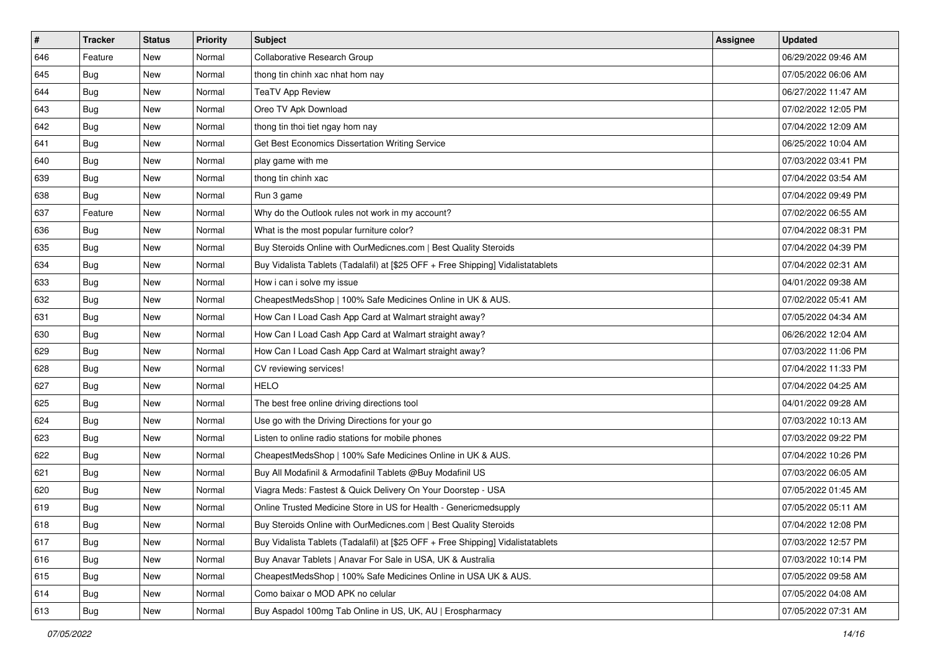| $\sharp$ | <b>Tracker</b> | <b>Status</b> | <b>Priority</b> | Subject                                                                          | <b>Assignee</b> | <b>Updated</b>      |
|----------|----------------|---------------|-----------------|----------------------------------------------------------------------------------|-----------------|---------------------|
| 646      | Feature        | New           | Normal          | Collaborative Research Group                                                     |                 | 06/29/2022 09:46 AM |
| 645      | <b>Bug</b>     | New           | Normal          | thong tin chinh xac nhat hom nay                                                 |                 | 07/05/2022 06:06 AM |
| 644      | Bug            | New           | Normal          | <b>TeaTV App Review</b>                                                          |                 | 06/27/2022 11:47 AM |
| 643      | <b>Bug</b>     | New           | Normal          | Oreo TV Apk Download                                                             |                 | 07/02/2022 12:05 PM |
| 642      | Bug            | New           | Normal          | thong tin thoi tiet ngay hom nay                                                 |                 | 07/04/2022 12:09 AM |
| 641      | <b>Bug</b>     | New           | Normal          | Get Best Economics Dissertation Writing Service                                  |                 | 06/25/2022 10:04 AM |
| 640      | Bug            | New           | Normal          | play game with me                                                                |                 | 07/03/2022 03:41 PM |
| 639      | <b>Bug</b>     | New           | Normal          | thong tin chinh xac                                                              |                 | 07/04/2022 03:54 AM |
| 638      | Bug            | New           | Normal          | Run 3 game                                                                       |                 | 07/04/2022 09:49 PM |
| 637      | Feature        | New           | Normal          | Why do the Outlook rules not work in my account?                                 |                 | 07/02/2022 06:55 AM |
| 636      | <b>Bug</b>     | New           | Normal          | What is the most popular furniture color?                                        |                 | 07/04/2022 08:31 PM |
| 635      | <b>Bug</b>     | New           | Normal          | Buy Steroids Online with OurMedicnes.com   Best Quality Steroids                 |                 | 07/04/2022 04:39 PM |
| 634      | Bug            | New           | Normal          | Buy Vidalista Tablets (Tadalafil) at [\$25 OFF + Free Shipping] Vidalistatablets |                 | 07/04/2022 02:31 AM |
| 633      | Bug            | New           | Normal          | How i can i solve my issue                                                       |                 | 04/01/2022 09:38 AM |
| 632      | Bug            | New           | Normal          | CheapestMedsShop   100% Safe Medicines Online in UK & AUS.                       |                 | 07/02/2022 05:41 AM |
| 631      | Bug            | New           | Normal          | How Can I Load Cash App Card at Walmart straight away?                           |                 | 07/05/2022 04:34 AM |
| 630      | <b>Bug</b>     | New           | Normal          | How Can I Load Cash App Card at Walmart straight away?                           |                 | 06/26/2022 12:04 AM |
| 629      | Bug            | New           | Normal          | How Can I Load Cash App Card at Walmart straight away?                           |                 | 07/03/2022 11:06 PM |
| 628      | Bug            | New           | Normal          | CV reviewing services!                                                           |                 | 07/04/2022 11:33 PM |
| 627      | Bug            | New           | Normal          | <b>HELO</b>                                                                      |                 | 07/04/2022 04:25 AM |
| 625      | Bug            | New           | Normal          | The best free online driving directions tool                                     |                 | 04/01/2022 09:28 AM |
| 624      | Bug            | New           | Normal          | Use go with the Driving Directions for your go                                   |                 | 07/03/2022 10:13 AM |
| 623      | Bug            | New           | Normal          | Listen to online radio stations for mobile phones                                |                 | 07/03/2022 09:22 PM |
| 622      | <b>Bug</b>     | New           | Normal          | CheapestMedsShop   100% Safe Medicines Online in UK & AUS.                       |                 | 07/04/2022 10:26 PM |
| 621      | Bug            | New           | Normal          | Buy All Modafinil & Armodafinil Tablets @Buy Modafinil US                        |                 | 07/03/2022 06:05 AM |
| 620      | Bug            | New           | Normal          | Viagra Meds: Fastest & Quick Delivery On Your Doorstep - USA                     |                 | 07/05/2022 01:45 AM |
| 619      | <b>Bug</b>     | New           | Normal          | Online Trusted Medicine Store in US for Health - Genericmedsupply                |                 | 07/05/2022 05:11 AM |
| 618      | Bug            | New           | Normal          | Buy Steroids Online with OurMedicnes.com   Best Quality Steroids                 |                 | 07/04/2022 12:08 PM |
| 617      | Bug            | New           | Normal          | Buy Vidalista Tablets (Tadalafil) at [\$25 OFF + Free Shipping] Vidalistatablets |                 | 07/03/2022 12:57 PM |
| 616      | Bug            | New           | Normal          | Buy Anavar Tablets   Anavar For Sale in USA, UK & Australia                      |                 | 07/03/2022 10:14 PM |
| 615      | <b>Bug</b>     | New           | Normal          | CheapestMedsShop   100% Safe Medicines Online in USA UK & AUS.                   |                 | 07/05/2022 09:58 AM |
| 614      | Bug            | New           | Normal          | Como baixar o MOD APK no celular                                                 |                 | 07/05/2022 04:08 AM |
| 613      | <b>Bug</b>     | New           | Normal          | Buy Aspadol 100mg Tab Online in US, UK, AU   Erospharmacy                        |                 | 07/05/2022 07:31 AM |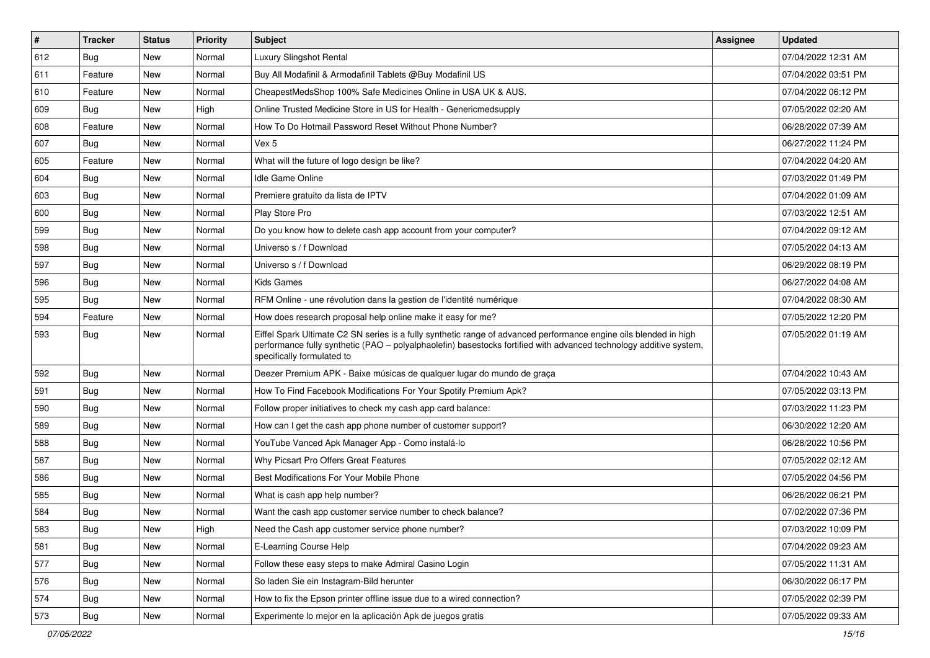| #   | <b>Tracker</b> | <b>Status</b> | <b>Priority</b> | <b>Subject</b>                                                                                                                                                                                                                                                        | <b>Assignee</b> | <b>Updated</b>      |
|-----|----------------|---------------|-----------------|-----------------------------------------------------------------------------------------------------------------------------------------------------------------------------------------------------------------------------------------------------------------------|-----------------|---------------------|
| 612 | <b>Bug</b>     | New           | Normal          | Luxury Slingshot Rental                                                                                                                                                                                                                                               |                 | 07/04/2022 12:31 AM |
| 611 | Feature        | New           | Normal          | Buy All Modafinil & Armodafinil Tablets @Buy Modafinil US                                                                                                                                                                                                             |                 | 07/04/2022 03:51 PM |
| 610 | Feature        | New           | Normal          | CheapestMedsShop 100% Safe Medicines Online in USA UK & AUS.                                                                                                                                                                                                          |                 | 07/04/2022 06:12 PM |
| 609 | <b>Bug</b>     | New           | High            | Online Trusted Medicine Store in US for Health - Genericmedsupply                                                                                                                                                                                                     |                 | 07/05/2022 02:20 AM |
| 608 | Feature        | New           | Normal          | How To Do Hotmail Password Reset Without Phone Number?                                                                                                                                                                                                                |                 | 06/28/2022 07:39 AM |
| 607 | Bug            | New           | Normal          | Vex 5                                                                                                                                                                                                                                                                 |                 | 06/27/2022 11:24 PM |
| 605 | Feature        | New           | Normal          | What will the future of logo design be like?                                                                                                                                                                                                                          |                 | 07/04/2022 04:20 AM |
| 604 | Bug            | <b>New</b>    | Normal          | Idle Game Online                                                                                                                                                                                                                                                      |                 | 07/03/2022 01:49 PM |
| 603 | Bug            | New           | Normal          | Premiere gratuito da lista de IPTV                                                                                                                                                                                                                                    |                 | 07/04/2022 01:09 AM |
| 600 | Bug            | <b>New</b>    | Normal          | Play Store Pro                                                                                                                                                                                                                                                        |                 | 07/03/2022 12:51 AM |
| 599 | Bug            | New           | Normal          | Do you know how to delete cash app account from your computer?                                                                                                                                                                                                        |                 | 07/04/2022 09:12 AM |
| 598 | Bug            | <b>New</b>    | Normal          | Universo s / f Download                                                                                                                                                                                                                                               |                 | 07/05/2022 04:13 AM |
| 597 | Bug            | New           | Normal          | Universo s / f Download                                                                                                                                                                                                                                               |                 | 06/29/2022 08:19 PM |
| 596 | <b>Bug</b>     | New           | Normal          | Kids Games                                                                                                                                                                                                                                                            |                 | 06/27/2022 04:08 AM |
| 595 | <b>Bug</b>     | <b>New</b>    | Normal          | RFM Online - une révolution dans la gestion de l'identité numérique                                                                                                                                                                                                   |                 | 07/04/2022 08:30 AM |
| 594 | Feature        | New           | Normal          | How does research proposal help online make it easy for me?                                                                                                                                                                                                           |                 | 07/05/2022 12:20 PM |
| 593 | <b>Bug</b>     | New           | Normal          | Eiffel Spark Ultimate C2 SN series is a fully synthetic range of advanced performance engine oils blended in high<br>performance fully synthetic (PAO - polyalphaolefin) basestocks fortified with advanced technology additive system,<br>specifically formulated to |                 | 07/05/2022 01:19 AM |
| 592 | <b>Bug</b>     | <b>New</b>    | Normal          | Deezer Premium APK - Baixe músicas de qualquer lugar do mundo de graça                                                                                                                                                                                                |                 | 07/04/2022 10:43 AM |
| 591 | Bug            | New           | Normal          | How To Find Facebook Modifications For Your Spotify Premium Apk?                                                                                                                                                                                                      |                 | 07/05/2022 03:13 PM |
| 590 | Bug            | New           | Normal          | Follow proper initiatives to check my cash app card balance:                                                                                                                                                                                                          |                 | 07/03/2022 11:23 PM |
| 589 | Bug            | <b>New</b>    | Normal          | How can I get the cash app phone number of customer support?                                                                                                                                                                                                          |                 | 06/30/2022 12:20 AM |
| 588 | <b>Bug</b>     | New           | Normal          | YouTube Vanced Apk Manager App - Como instalá-lo                                                                                                                                                                                                                      |                 | 06/28/2022 10:56 PM |
| 587 | Bug            | <b>New</b>    | Normal          | Why Picsart Pro Offers Great Features                                                                                                                                                                                                                                 |                 | 07/05/2022 02:12 AM |
| 586 | <b>Bug</b>     | New           | Normal          | Best Modifications For Your Mobile Phone                                                                                                                                                                                                                              |                 | 07/05/2022 04:56 PM |
| 585 | <b>Bug</b>     | New           | Normal          | What is cash app help number?                                                                                                                                                                                                                                         |                 | 06/26/2022 06:21 PM |
| 584 | Bug            | New           | Normal          | Want the cash app customer service number to check balance?                                                                                                                                                                                                           |                 | 07/02/2022 07:36 PM |
| 583 | Bug            | New           | High            | Need the Cash app customer service phone number?                                                                                                                                                                                                                      |                 | 07/03/2022 10:09 PM |
| 581 | <b>Bug</b>     | New           | Normal          | E-Learning Course Help                                                                                                                                                                                                                                                |                 | 07/04/2022 09:23 AM |
| 577 | <b>Bug</b>     | New           | Normal          | Follow these easy steps to make Admiral Casino Login                                                                                                                                                                                                                  |                 | 07/05/2022 11:31 AM |
| 576 | <b>Bug</b>     | New           | Normal          | So laden Sie ein Instagram-Bild herunter                                                                                                                                                                                                                              |                 | 06/30/2022 06:17 PM |
| 574 | <b>Bug</b>     | New           | Normal          | How to fix the Epson printer offline issue due to a wired connection?                                                                                                                                                                                                 |                 | 07/05/2022 02:39 PM |
| 573 | Bug            | New           | Normal          | Experimente lo mejor en la aplicación Apk de juegos gratis                                                                                                                                                                                                            |                 | 07/05/2022 09:33 AM |